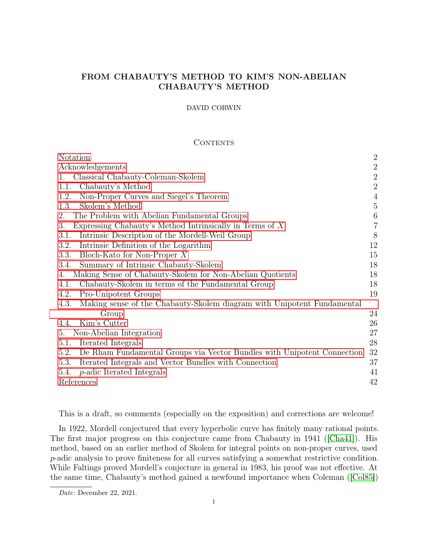## FROM CHABAUTY'S METHOD TO KIM'S NON-ABELIAN CHABAUTY'S METHOD

### DAVID CORWIN

## **CONTENTS**

| Notation                                                                        | $\overline{2}$ |
|---------------------------------------------------------------------------------|----------------|
| Acknowledgements                                                                | $\sqrt{2}$     |
| Classical Chabauty-Coleman-Skolem<br>1.                                         | $\sqrt{2}$     |
| Chabauty's Method<br>1.1.                                                       | $\sqrt{2}$     |
| Non-Proper Curves and Siegel's Theorem<br>1.2.                                  | $\overline{4}$ |
| Skolem's Method<br>1.3.                                                         | $\bf 5$        |
| The Problem with Abelian Fundamental Groups<br>2.                               | $\,6\,$        |
| 3.<br>Expressing Chabauty's Method Intrinsically in Terms of $X$                | $\overline{7}$ |
| Intrinsic Description of the Mordell-Weil Group<br>3.1.                         | 8              |
| Intrinsic Definition of the Logarithm<br>3.2.                                   | 12             |
| 3.3.<br>Bloch-Kato for Non-Proper $X$                                           | 15             |
| Summary of Intrinsic Chabauty-Skolem<br>3.4.                                    | 18             |
| Making Sense of Chabauty-Skolem for Non-Abelian Quotients<br>4.                 | 18             |
| Chabauty-Skolem in terms of the Fundamental Group<br>4.1.                       | 18             |
| 4.2.<br>Pro-Unipotent Groups                                                    | 19             |
| Making sense of the Chabauty-Skolem diagram with Unipotent Fundamental<br>4.3.  |                |
| Group                                                                           | 24             |
| Kim's Cutter<br>4.4.                                                            | 26             |
| Non-Abelian Integration<br>5.                                                   | 27             |
| Iterated Integrals<br>5.1.                                                      | 28             |
| De Rham Fundamental Groups via Vector Bundles with Unipotent Connection<br>5.2. | 32             |
| Iterated Integrals and Vector Bundles with Connection<br>5.3.                   | 37             |
| <i>p</i> -adic Iterated Integrals<br>5.4.                                       | 41             |
| References                                                                      | 42             |

This is a draft, so comments (especially on the exposition) and corrections are welcome!

In 1922, Mordell conjectured that every hyperbolic curve has finitely many rational points. The first major progress on this conjecture came from Chabauty in 1941 ([\[Cha41\]](#page-41-1)). His method, based on an earlier method of Skolem for integral points on non-proper curves, used p-adic analysis to prove finiteness for all curves satisfying a somewhat restrictive condition. While Faltings proved Mordell's conjecture in general in 1983, his proof was not effective. At the same time, Chabauty's method gained a newfound importance when Coleman ([\[Col85\]](#page-41-2))

Date: December 22, 2021.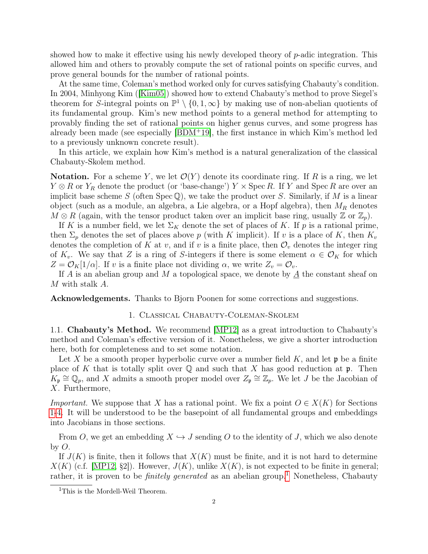showed how to make it effective using his newly developed theory of  $p$ -adic integration. This allowed him and others to provably compute the set of rational points on specific curves, and prove general bounds for the number of rational points.

At the same time, Coleman's method worked only for curves satisfying Chabauty's condition. In 2004, Minhyong Kim ([\[Kim05\]](#page-41-3)) showed how to extend Chabauty's method to prove Siegel's theorem for S-integral points on  $\mathbb{P}^1 \setminus \{0, 1, \infty\}$  by making use of non-abelian quotients of its fundamental group. Kim's new method points to a general method for attempting to provably finding the set of rational points on higher genus curves, and some progress has already been made (see especially [\[BDM](#page-41-4)<sup>+</sup>19], the first instance in which Kim's method led to a previously unknown concrete result).

In this article, we explain how Kim's method is a natural generalization of the classical Chabauty-Skolem method.

<span id="page-1-0"></span>Notation. For a scheme Y, we let  $\mathcal{O}(Y)$  denote its coordinate ring. If R is a ring, we let  $Y \otimes R$  or  $Y_R$  denote the product (or 'base-change')  $Y \times$  Spec R. If Y and Spec R are over an implicit base scheme S (often Spec  $\mathbb{Q}$ ), we take the product over S. Similarly, if M is a linear object (such as a module, an algebra, a Lie algebra, or a Hopf algebra), then  $M_R$  denotes  $M \otimes R$  (again, with the tensor product taken over an implicit base ring, usually  $\mathbb{Z}$  or  $\mathbb{Z}_p$ ).

If K is a number field, we let  $\Sigma_K$  denote the set of places of K. If p is a rational prime, then  $\Sigma_p$  denotes the set of places above p (with K implicit). If v is a place of K, then  $K_v$ denotes the completion of K at v, and if v is a finite place, then  $\mathcal{O}_v$  denotes the integer ring of  $K_v$ . We say that Z is a ring of S-integers if there is some element  $\alpha \in \mathcal{O}_K$  for which  $Z = \mathcal{O}_K[1/\alpha]$ . If v is a finite place not dividing  $\alpha$ , we write  $Z_v = \mathcal{O}_v$ .

If A is an abelian group and M a topological space, we denote by  $\underline{A}$  the constant sheaf on M with stalk A.

<span id="page-1-2"></span><span id="page-1-1"></span>Acknowledgements. Thanks to Bjorn Poonen for some corrections and suggestions.

### 1. Classical Chabauty-Coleman-Skolem

<span id="page-1-3"></span>1.1. Chabauty's Method. We recommend [\[MP12\]](#page-42-0) as a great introduction to Chabauty's method and Coleman's effective version of it. Nonetheless, we give a shorter introduction here, both for completeness and to set some notation.

Let X be a smooth proper hyperbolic curve over a number field  $K$ , and let  $\mathfrak p$  be a finite place of K that is totally split over  $\mathbb Q$  and such that X has good reduction at  $\mathfrak p$ . Then  $K_{\mathfrak{p}} \cong \mathbb{Q}_p$ , and X admits a smooth proper model over  $Z_{\mathfrak{p}} \cong \mathbb{Z}_p$ . We let J be the Jacobian of X. Furthermore,

*Important.* We suppose that X has a rational point. We fix a point  $O \in X(K)$  for Sections [1](#page-1-2)[-4.](#page-17-1) It will be understood to be the basepoint of all fundamental groups and embeddings into Jacobians in those sections.

From O, we get an embedding  $X \hookrightarrow J$  sending O to the identity of J, which we also denote by  $O$ .

If  $J(K)$  is finite, then it follows that  $X(K)$  must be finite, and it is not hard to determine  $X(K)$  (c.f. [\[MP12,](#page-42-0) §2]). However,  $J(K)$ , unlike  $X(K)$ , is not expected to be finite in general; rather, it is proven to be *finitely generated* as an abelian group.<sup>[1](#page-1-4)</sup> Nonetheless, Chabauty

<span id="page-1-4"></span><sup>&</sup>lt;sup>1</sup>This is the Mordell-Weil Theorem.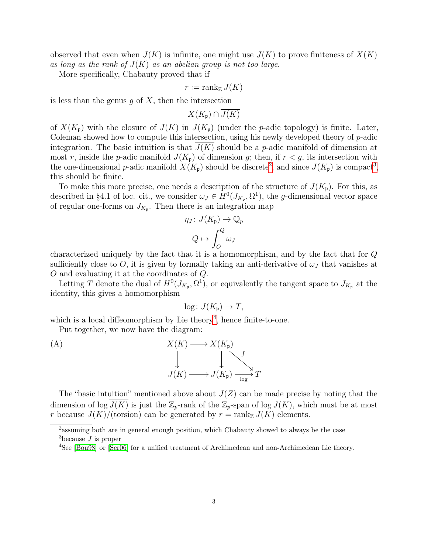observed that even when  $J(K)$  is infinite, one might use  $J(K)$  to prove finiteness of  $X(K)$ as long as the rank of  $J(K)$  as an abelian group is not too large.

More specifically, Chabauty proved that if

$$
r := \operatorname{rank}_{\mathbb{Z}} J(K)
$$

is less than the genus  $q$  of  $X$ , then the intersection

 $X(K_n) \cap \overline{J(K)}$ 

of  $X(K_p)$  with the closure of  $J(K)$  in  $J(K_p)$  (under the p-adic topology) is finite. Later, Coleman showed how to compute this intersection, using his newly developed theory of  $p$ -adic integration. The basic intuition is that  $J(K)$  should be a p-adic manifold of dimension at most r, inside the p-adic manifold  $J(K_p)$  of dimension g; then, if  $r < g$ , its intersection with the one-dimensional *p*-adic manifold  $X(K_p)$  should be discrete<sup>[2](#page-2-0)</sup>, and since  $J(K_p)$  is compact<sup>[3](#page-2-1)</sup>, this should be finite.

To make this more precise, one needs a description of the structure of  $J(K_p)$ . For this, as described in §4.1 of loc. cit., we consider  $\omega_J \in H^0(J_{K_{\mathfrak{p}}}, \Omega^1)$ , the *g*-dimensional vector space of regular one-forms on  $J_{K_{\mathfrak{p}}}$ . Then there is an integration map

$$
\eta_J \colon J(K_{\mathfrak{p}}) \to \mathbb{Q}_p
$$

$$
Q \mapsto \int_Q^Q \omega_J
$$

characterized uniquely by the fact that it is a homomorphism, and by the fact that for Q sufficiently close to O, it is given by formally taking an anti-derivative of  $\omega_J$  that vanishes at O and evaluating it at the coordinates of Q.

Letting T denote the dual of  $H^0(J_{K_{\mathfrak{p}}}, \Omega^1)$ , or equivalently the tangent space to  $J_{K_{\mathfrak{p}}}$  at the identity, this gives a homomorphism

$$
\log: J(K_{\mathfrak{p}}) \to T,
$$

which is a local diffeomorphism by Lie theory<sup>[4](#page-2-2)</sup>, hence finite-to-one.

Put together, we now have the diagram:

(A)  $X(K) \longrightarrow$ ŀ.  $X(K_{\mathfrak{p}})$ Ļ R "  $J(K) \longrightarrow J(K_{\mathfrak{p}}) \longrightarrow T$ 

The "basic intuition" mentioned above about  $\overline{J(Z)}$  can be made precise by noting that the dimension of log  $J(K)$  is just the  $\mathbb{Z}_p$ -rank of the  $\mathbb{Z}_p$ -span of log  $J(K)$ , which must be at most r because  $J(K)/(torsion)$  can be generated by  $r = \text{rank}_{\mathbb{Z}} J(K)$  elements.

<span id="page-2-0"></span><sup>&</sup>lt;sup>2</sup> assuming both are in general enough position, which Chabauty showed to always be the case

<span id="page-2-1"></span> $3$ because J is proper

<span id="page-2-2"></span><sup>4</sup>See [\[Bou98\]](#page-41-5) or [\[Ser06\]](#page-42-1) for a unified treatment of Archimedean and non-Archimedean Lie theory.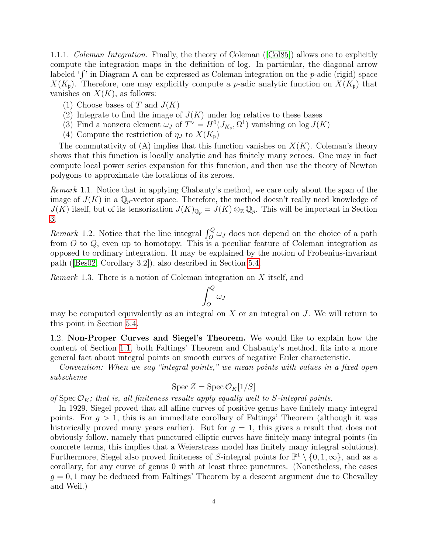<span id="page-3-3"></span>1.1.1. Coleman Integration. Finally, the theory of Coleman ([\[Col85\]](#page-41-2)) allows one to explicitly compute the integration maps in the definition of log. In particular, the diagonal arrow labeled ' $\int$ ' in Diagram A can be expressed as Coleman integration on the p-adic (rigid) space  $X(K_p)$ . Therefore, one may explicitly compute a p-adic analytic function on  $X(K_p)$  that vanishes on  $X(K)$ , as follows:

- (1) Choose bases of T and  $J(K)$
- (2) Integrate to find the image of  $J(K)$  under log relative to these bases
- (3) Find a nonzero element  $\omega_J$  of  $T^{\vee} = H^0(J_{K_{\mathfrak{p}}}, \Omega^1)$  vanishing on  $\log J(K)$
- (4) Compute the restriction of  $\eta_J$  to  $X(K_p)$

The commutativity of  $(A)$  implies that this function vanishes on  $X(K)$ . Coleman's theory shows that this function is locally analytic and has finitely many zeroes. One may in fact compute local power series expansion for this function, and then use the theory of Newton polygons to approximate the locations of its zeroes.

<span id="page-3-1"></span>Remark 1.1. Notice that in applying Chabauty's method, we care only about the span of the image of  $J(K)$  in a  $\mathbb{Q}_p$ -vector space. Therefore, the method doesn't really need knowledge of  $J(K)$  itself, but of its tensorization  $J(K)_{\mathbb{Q}_p} = J(K) \otimes_{\mathbb{Z}} \mathbb{Q}_p$ . This will be important in Section [3.](#page-6-0)

Remark 1.2. Notice that the line integral  $\int_{O}^{Q} \omega_{J}$  does not depend on the choice of a path from  $O$  to  $Q$ , even up to homotopy. This is a peculiar feature of Coleman integration as opposed to ordinary integration. It may be explained by the notion of Frobenius-invariant path ([\[Bes02,](#page-41-6) Corollary 3.2]), also described in Section [5.4.](#page-40-0)

<span id="page-3-2"></span>Remark 1.3. There is a notion of Coleman integration on X itself, and

$$
\int_O^Q \omega_J
$$

may be computed equivalently as an integral on  $X$  or an integral on  $J$ . We will return to this point in Section [5.4.](#page-40-0)

<span id="page-3-0"></span>1.2. Non-Proper Curves and Siegel's Theorem. We would like to explain how the content of Section [1.1,](#page-1-3) both Faltings' Theorem and Chabauty's method, fits into a more general fact about integral points on smooth curves of negative Euler characteristic.

Convention: When we say "integral points," we mean points with values in a fixed open subscheme

$$
\operatorname{Spec} Z = \operatorname{Spec} \mathcal{O}_K[1/S]
$$

of Spec  $\mathcal{O}_K$ ; that is, all finiteness results apply equally well to S-integral points.

In 1929, Siegel proved that all affine curves of positive genus have finitely many integral points. For  $q > 1$ , this is an immediate corollary of Faltings' Theorem (although it was historically proved many years earlier). But for  $q = 1$ , this gives a result that does not obviously follow, namely that punctured elliptic curves have finitely many integral points (in concrete terms, this implies that a Weierstrass model has finitely many integral solutions). Furthermore, Siegel also proved finiteness of S-integral points for  $\mathbb{P}^1 \setminus \{0,1,\infty\}$ , and as a corollary, for any curve of genus 0 with at least three punctures. (Nonetheless, the cases  $g = 0, 1$  may be deduced from Faltings' Theorem by a descent argument due to Chevalley and Weil.)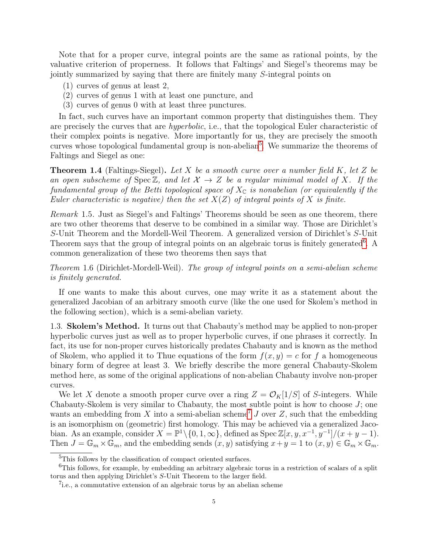Note that for a proper curve, integral points are the same as rational points, by the valuative criterion of properness. It follows that Faltings' and Siegel's theorems may be jointly summarized by saying that there are finitely many S-integral points on

- (1) curves of genus at least 2,
- (2) curves of genus 1 with at least one puncture, and
- (3) curves of genus 0 with at least three punctures.

In fact, such curves have an important common property that distinguishes them. They are precisely the curves that are *hyperbolic*, i.e., that the topological Euler characteristic of their complex points is negative. More importantly for us, they are precisely the smooth curves whose topological fundamental group is non-abelian<sup>[5](#page-4-1)</sup>. We summarize the theorems of Faltings and Siegel as one:

**Theorem 1.4** (Faltings-Siegel). Let  $X$  be a smooth curve over a number field  $K$ , let  $Z$  be an open subscheme of Spec  $\mathbb{Z}$ , and let  $\mathcal{X} \to Z$  be a regular minimal model of X. If the fundamental group of the Betti topological space of  $X_{\mathbb{C}}$  is nonabelian (or equivalently if the Euler characteristic is negative) then the set  $X(Z)$  of integral points of X is finite.

Remark 1.5. Just as Siegel's and Faltings' Theorems should be seen as one theorem, there are two other theorems that deserve to be combined in a similar way. Those are Dirichlet's S-Unit Theorem and the Mordell-Weil Theorem. A generalized version of Dirichlet's S-Unit Theorem says that the group of integral points on an algebraic torus is finitely generated<sup>[6](#page-4-2)</sup>. A common generalization of these two theorems then says that

<span id="page-4-4"></span>Theorem 1.6 (Dirichlet-Mordell-Weil). The group of integral points on a semi-abelian scheme is finitely generated.

If one wants to make this about curves, one may write it as a statement about the generalized Jacobian of an arbitrary smooth curve (like the one used for Skolem's method in the following section), which is a semi-abelian variety.

<span id="page-4-0"></span>1.3. Skolem's Method. It turns out that Chabauty's method may be applied to non-proper hyperbolic curves just as well as to proper hyperbolic curves, if one phrases it correctly. In fact, its use for non-proper curves historically predates Chabauty and is known as the method of Skolem, who applied it to Thue equations of the form  $f(x, y) = c$  for f a homogeneous binary form of degree at least 3. We briefly describe the more general Chabauty-Skolem method here, as some of the original applications of non-abelian Chabauty involve non-proper curves.

We let X denote a smooth proper curve over a ring  $Z = \mathcal{O}_K[1/S]$  of S-integers. While Chabauty-Skolem is very similar to Chabauty, the most subtle point is how to choose  $J$ ; one wants an embedding from X into a semi-abelian scheme<sup>[7](#page-4-3)</sup> J over Z, such that the embedding is an isomorphism on (geometric) first homology. This may be achieved via a generalized Jacobian. As an example, consider  $X = \mathbb{P}^1 \setminus \{0, 1, \infty\}$ , defined as  $\text{Spec } \mathbb{Z}[x, y, x^{-1}, y^{-1}]/(x+y-1)$ . Then  $J = \mathbb{G}_m \times \mathbb{G}_m$ , and the embedding sends  $(x, y)$  satisfying  $x + y = 1$  to  $(x, y) \in \mathbb{G}_m \times \mathbb{G}_m$ .

<span id="page-4-2"></span><span id="page-4-1"></span><sup>&</sup>lt;sup>5</sup>This follows by the classification of compact oriented surfaces.

<sup>&</sup>lt;sup>6</sup>This follows, for example, by embedding an arbitrary algebraic torus in a restriction of scalars of a split torus and then applying Dirichlet's S-Unit Theorem to the larger field.

<span id="page-4-3"></span><sup>&</sup>lt;sup>7</sup>i.e., a commutative extension of an algebraic torus by an abelian scheme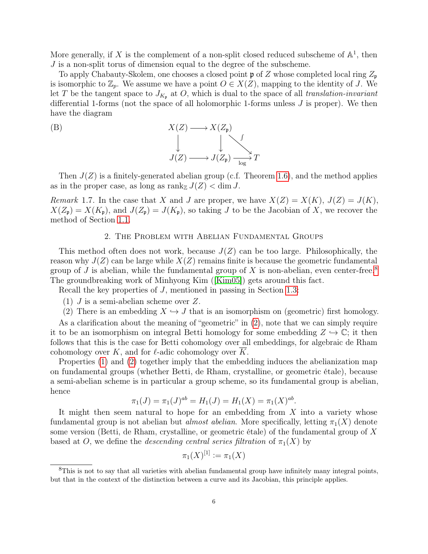More generally, if X is the complement of a non-split closed reduced subscheme of  $\mathbb{A}^1$ , then J is a non-split torus of dimension equal to the degree of the subscheme.

To apply Chabauty-Skolem, one chooses a closed point  $\mathfrak p$  of Z whose completed local ring  $Z_{\mathfrak p}$ is isomorphic to  $\mathbb{Z}_p$ . We assume we have a point  $O \in X(Z)$ , mapping to the identity of J. We let T be the tangent space to  $J_{K_p}$  at O, which is dual to the space of all translation-invariant differential 1-forms (not the space of all holomorphic 1-forms unless J is proper). We then have the diagram

(B)  

$$
X(Z) \longrightarrow X(Z_{\mathfrak{p}})
$$

$$
\downarrow \qquad \qquad \downarrow \qquad \qquad \downarrow
$$

$$
J(Z) \longrightarrow J(Z_{\mathfrak{p}}) \xrightarrow{\phantom{A}} T
$$

Then  $J(Z)$  is a finitely-generated abelian group (c.f. Theorem [1.6\)](#page-4-4), and the method applies as in the proper case, as long as  $\text{rank}_{\mathbb{Z}} J(Z) < \dim J$ .

Remark 1.7. In the case that X and J are proper, we have  $X(Z) = X(K)$ ,  $J(Z) = J(K)$ ,  $X(Z_p) = X(K_p)$ , and  $J(Z_p) = J(K_p)$ , so taking J to be the Jacobian of X, we recover the method of Section [1.1.](#page-1-3)

### 2. The Problem with Abelian Fundamental Groups

<span id="page-5-0"></span>This method often does not work, because  $J(Z)$  can be too large. Philosophically, the reason why  $J(Z)$  can be large while  $X(Z)$  remains finite is because the geometric fundamental group of J is abelian, while the fundamental group of X is non-abelian, even center-free.<sup>[8](#page-5-1)</sup> The groundbreaking work of Minhyong Kim ([\[Kim05\]](#page-41-3)) gets around this fact.

<span id="page-5-3"></span>Recall the key properties of J, mentioned in passing in Section [1.3:](#page-4-0)

- (1) J is a semi-abelian scheme over Z.
- (2) There is an embedding  $X \hookrightarrow J$  that is an isomorphism on (geometric) first homology.

<span id="page-5-2"></span>As a clarification about the meaning of "geometric" in  $(2)$ , note that we can simply require it to be an isomorphism on integral Betti homology for some embedding  $Z \hookrightarrow \mathbb{C}$ ; it then follows that this is the case for Betti cohomology over all embeddings, for algebraic de Rham cohomology over K, and for  $\ell$ -adic cohomology over  $\overline{K}$ .

Properties [\(1\)](#page-5-3) and [\(2\)](#page-5-2) together imply that the embedding induces the abelianization map on fundamental groups (whether Betti, de Rham, crystalline, or geometric étale), because a semi-abelian scheme is in particular a group scheme, so its fundamental group is abelian, hence

$$
\pi_1(J) = \pi_1(J)^{ab} = H_1(J) = H_1(X) = \pi_1(X)^{ab}.
$$

It might then seem natural to hope for an embedding from  $X$  into a variety whose fundamental group is not abelian but *almost abelian*. More specifically, letting  $\pi_1(X)$  denote some version (Betti, de Rham, crystalline, or geometric étale) of the fundamental group of X based at O, we define the *descending central series filtration* of  $\pi_1(X)$  by

$$
\pi_1(X)^{[1]}:=\pi_1(X)
$$

<span id="page-5-1"></span><sup>&</sup>lt;sup>8</sup>This is not to say that all varieties with abelian fundamental group have infinitely many integral points, but that in the context of the distinction between a curve and its Jacobian, this principle applies.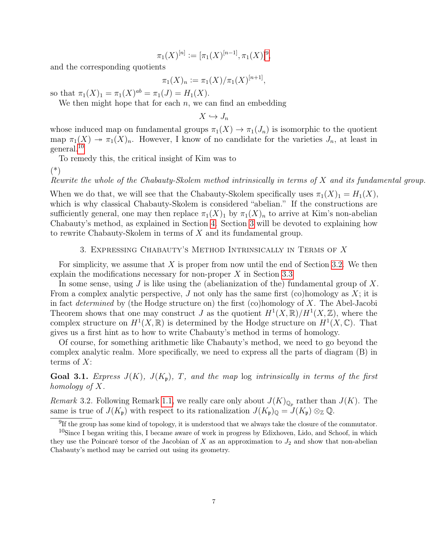$$
\pi_1(X)^{[n]} := [\pi_1(X)^{[n-1]}, \pi_1(X)]^9,
$$

and the corresponding quotients

$$
\pi_1(X)_n := \pi_1(X)/\pi_1(X)^{[n+1]},
$$

so that  $\pi_1(X)_1 = \pi_1(X)^{ab} = \pi_1(J) = H_1(X)$ .

We then might hope that for each  $n$ , we can find an embedding

$$
X \hookrightarrow J_n
$$

whose induced map on fundamental groups  $\pi_1(X) \to \pi_1(J_n)$  is isomorphic to the quotient map  $\pi_1(X) \to \pi_1(X)_n$ . However, I know of no candidate for the varieties  $J_n$ , at least in general.[10](#page-6-2)

To remedy this, the critical insight of Kim was to

(\*)

Rewrite the whole of the Chabauty-Skolem method intrinsically in terms of X and its fundamental group.

When we do that, we will see that the Chabauty-Skolem specifically uses  $\pi_1(X)_1 = H_1(X)$ , which is why classical Chabauty-Skolem is considered "abelian." If the constructions are sufficiently general, one may then replace  $\pi_1(X)_1$  by  $\pi_1(X)_n$  to arrive at Kim's non-abelian Chabauty's method, as explained in Section [4.](#page-17-1) Section [3](#page-6-0) will be devoted to explaining how to rewrite Chabauty-Skolem in terms of X and its fundamental group.

## 3. Expressing Chabauty's Method Intrinsically in Terms of X

<span id="page-6-0"></span>For simplicity, we assume that  $X$  is proper from now until the end of Section [3.2.](#page-11-0) We then explain the modifications necessary for non-proper X in Section [3.3](#page-14-0)

In some sense, using  $J$  is like using the (abelianization of the) fundamental group of  $X$ . From a complex analytic perspective,  $J$  not only has the same first (co)homology as  $X$ ; it is in fact determined by (the Hodge structure on) the first (co)homology of  $X$ . The Abel-Jacobi Theorem shows that one may construct J as the quotient  $H^1(X,\mathbb{R})/H^1(X,\mathbb{Z})$ , where the complex structure on  $H^1(X,\mathbb{R})$  is determined by the Hodge structure on  $H^1(X,\mathbb{C})$ . That gives us a first hint as to how to write Chabauty's method in terms of homology.

Of course, for something arithmetic like Chabauty's method, we need to go beyond the complex analytic realm. More specifically, we need to express all the parts of diagram (B) in terms of  $X$ :

<span id="page-6-4"></span>**Goal 3.1.** Express  $J(K)$ ,  $J(K_p)$ , T, and the map log intrinsically in terms of the first homology of X.

<span id="page-6-3"></span>Remark 3.2. Following Remark [1.1,](#page-3-1) we really care only about  $J(K)_{\mathbb{Q}_p}$  rather than  $J(K)$ . The same is true of  $J(K_p)$  with respect to its rationalization  $J(K_p)_{\mathbb{Q}} = J(K_p) \otimes_{\mathbb{Z}} \mathbb{Q}$ .

<span id="page-6-2"></span><span id="page-6-1"></span> $<sup>9</sup>$ If the group has some kind of topology, it is understood that we always take the closure of the commutator.</sup>

<sup>&</sup>lt;sup>10</sup>Since I began writing this, I became aware of work in progress by Edixhoven, Lido, and Schoof, in which they use the Poincaré torsor of the Jacobian of X as an approximation to  $J_2$  and show that non-abelian Chabauty's method may be carried out using its geometry.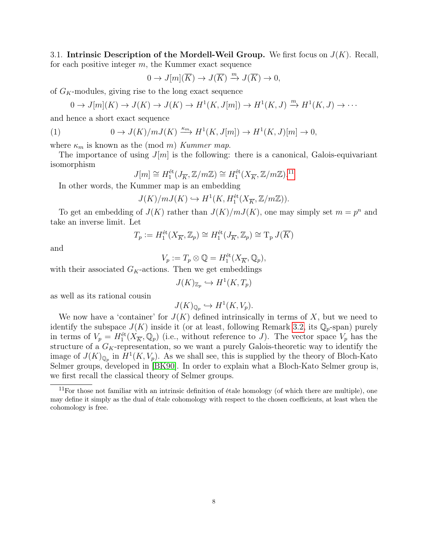<span id="page-7-0"></span>3.1. Intrinsic Description of the Mordell-Weil Group. We first focus on  $J(K)$ . Recall, for each positive integer  $m$ , the Kummer exact sequence

$$
0 \to J[m](\overline{K}) \to J(\overline{K}) \xrightarrow{m} J(\overline{K}) \to 0,
$$

of  $G_K$ -modules, giving rise to the long exact sequence

<span id="page-7-2"></span>
$$
0 \to J[m](K) \to J(K) \to J(K) \to H^1(K, J[m]) \to H^1(K, J) \xrightarrow{m} H^1(K, J) \to \cdots
$$

and hence a short exact sequence

(1) 
$$
0 \to J(K)/mJ(K) \xrightarrow{\kappa_m} H^1(K, J[m]) \to H^1(K, J)[m] \to 0,
$$

where  $\kappa_m$  is known as the (mod m) Kummer map.

The importance of using  $J[m]$  is the following: there is a canonical, Galois-equivariant isomorphism

$$
J[m] \cong H_1^{\text{\'et}}(J_{\overline{K}}, {\mathbb Z}/m{\mathbb Z}) \cong H_1^{\text{\'et}}(X_{\overline{K}}, {\mathbb Z}/m{\mathbb Z}) .^{11}
$$

In other words, the Kummer map is an embedding

$$
J(K)/mJ(K)\hookrightarrow H^1(K,H_1^{\text{\'et}}(X_{\overline{K}},{\mathbb Z}/m{\mathbb Z})).
$$

To get an embedding of  $J(K)$  rather than  $J(K)/mJ(K)$ , one may simply set  $m = p<sup>n</sup>$  and take an inverse limit. Let

$$
T_p := H_1^{\text{\'et}}(X_{\overline{K}}, \mathbb{Z}_p) \cong H_1^{\text{\'et}}(J_{\overline{K}}, \mathbb{Z}_p) \cong T_p J(\overline{K})
$$

and

$$
V_p := T_p \otimes \mathbb{Q} = H_1^{\text{\'et}}(X_{\overline{K}}, \mathbb{Q}_p),
$$

with their associated  $G_K$ -actions. Then we get embeddings

$$
J(K)_{\mathbb{Z}_p} \hookrightarrow H^1(K, T_p)
$$

as well as its rational cousin

$$
J(K)_{\mathbb{Q}_p} \hookrightarrow H^1(K, V_p).
$$

We now have a 'container' for  $J(K)$  defined intrinsically in terms of X, but we need to identify the subspace  $J(K)$  inside it (or at least, following Remark [3.2,](#page-6-3) its  $\mathbb{Q}_p$ -span) purely in terms of  $V_p = H_1^{\text{\'et}}(X_{\overline{K}}, \mathbb{Q}_p)$  (i.e., without reference to J). The vector space  $V_p$  has the structure of a  $G_K$ -representation, so we want a purely Galois-theoretic way to identify the image of  $J(K)_{\mathbb{Q}_p}$  in  $H^1(K, V_p)$ . As we shall see, this is supplied by the theory of Bloch-Kato Selmer groups, developed in [\[BK90\]](#page-41-7). In order to explain what a Bloch-Kato Selmer group is, we first recall the classical theory of Selmer groups.

<span id="page-7-1"></span> $11$ For those not familiar with an intrinsic definition of étale homology (of which there are multiple), one may define it simply as the dual of étale cohomology with respect to the chosen coefficients, at least when the cohomology is free.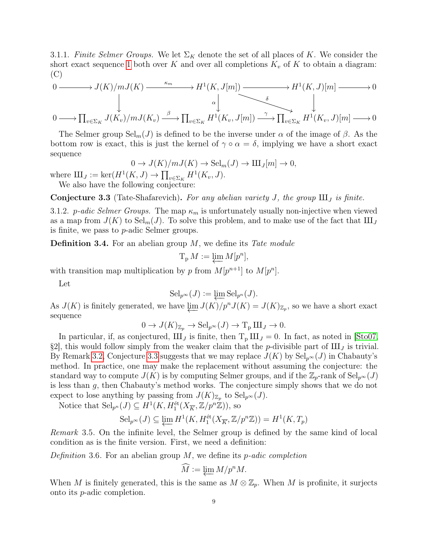3.1.1. Finite Selmer Groups. We let  $\Sigma_K$  denote the set of all places of K. We consider the short exact sequence [1](#page-7-2) both over K and over all completions  $K_v$  of K to obtain a diagram: (C)

$$
0 \longrightarrow J(K)/mJ(K) \longrightarrow^{K_m} H^1(K, J[m]) \longrightarrow H^1(K, J)[m] \longrightarrow 0
$$
  
\n
$$
\downarrow \qquad \qquad \downarrow
$$
  
\n
$$
0 \longrightarrow \prod_{v \in \Sigma_K} J(K_v)/mJ(K_v) \stackrel{\beta}{\longrightarrow} \prod_{v \in \Sigma_K} H^1(K_v, J[m]) \stackrel{\gamma}{\longrightarrow} \prod_{v \in \Sigma_K} H^1(K_v, J)[m] \longrightarrow 0
$$

The Selmer group  $\text{Sel}_m(J)$  is defined to be the inverse under  $\alpha$  of the image of  $\beta$ . As the bottom row is exact, this is just the kernel of  $\gamma \circ \alpha = \delta$ , implying we have a short exact sequence

$$
0 \to J(K)/mJ(K) \to \text{Sel}_{m}(J) \to \text{III}_{J}[m] \to 0,
$$

where  $\mathrm{III}_J := \ker(H^1(K, J) \to \prod_{v \in \Sigma_K} H^1(K_v, J).$ 

We also have the following conjecture:

<span id="page-8-0"></span>**Conjecture 3.3** (Tate-Shafarevich). For any abelian variety J, the group  $III_J$  is finite.

3.1.2. p-adic Selmer Groups. The map  $\kappa_m$  is unfortunately usually non-injective when viewed as a map from  $J(K)$  to  $\text{Sel}_m(J)$ . To solve this problem, and to make use of the fact that  $\text{III}_J$ is finite, we pass to p-adic Selmer groups.

**Definition 3.4.** For an abelian group  $M$ , we define its Tate module

$$
T_p M := \varprojlim M[p^n],
$$

with transition map multiplication by p from  $M[p^{n+1}]$  to  $M[p^n]$ .

Let

$$
\mathrm{Sel}_{p^{\infty}}(J) := \varprojlim \mathrm{Sel}_{p^n}(J).
$$

As  $J(K)$  is finitely generated, we have  $\varprojlim J(K)/p^n J(K) = J(K)_{\mathbb{Z}_p}$ , so we have a short exact sequence

$$
0 \to J(K)_{\mathbb{Z}_p} \to \mathrm{Sel}_{p^{\infty}}(J) \to T_p \amalg J \to 0.
$$

In particular, if, as conjectured,  $III_J$  is finite, then  $T_p III_J = 0$ . In fact, as noted in [\[Sto07,](#page-42-2) §2], this would follow simply from the weaker claim that the p-divisible part of  $\mathbf{III}_I$  is trivial. By Remark [3.2,](#page-6-3) Conjecture [3.3](#page-8-0) suggests that we may replace  $J(K)$  by  $\text{Sel}_{p^{\infty}}(J)$  in Chabauty's method. In practice, one may make the replacement without assuming the conjecture: the standard way to compute  $J(K)$  is by computing Selmer groups, and if the  $\mathbb{Z}_p$ -rank of Sel<sub>p</sub> $\infty(J)$ is less than g, then Chabauty's method works. The conjecture simply shows that we do not expect to lose anything by passing from  $J(K)_{\mathbb{Z}_p}$  to  $\text{Sel}_{p^{\infty}}(J)$ .

Notice that  $\text{Sel}_{p^n}(J) \subseteq H^1(K, H_1^{\text{\'et}}(X_{\overline{K}}, \mathbb{Z}/p^n\mathbb{Z}))$ , so

$$
\mathrm{Sel}_{p^\infty}(J) \subseteq \varprojlim H^1(K, H_1^{\text{\'et}}(X_{\overline{K}}, \mathbb{Z}/p^n\mathbb{Z})) = H^1(K, T_p)
$$

<span id="page-8-1"></span>Remark 3.5. On the infinite level, the Selmer group is defined by the same kind of local condition as is the finite version. First, we need a definition:

Definition 3.6. For an abelian group  $M$ , we define its *p*-adic completion

$$
\widehat{M} := \varprojlim M/p^n M.
$$

When M is finitely generated, this is the same as  $M \otimes \mathbb{Z}_p$ . When M is profinite, it surjects onto its p-adic completion.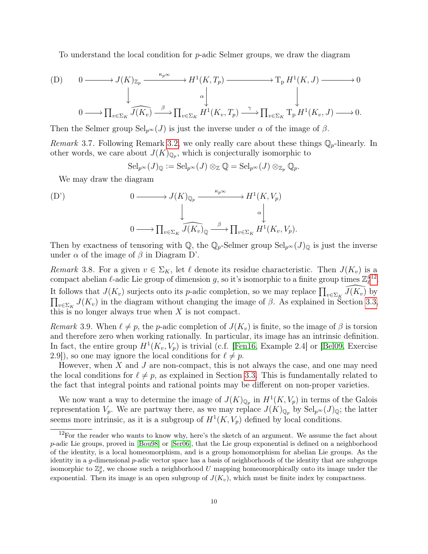To understand the local condition for p-adic Selmer groups, we draw the diagram

(D) 
$$
0 \longrightarrow J(K)_{\mathbb{Z}_p} \xrightarrow{\kappa_p \infty} H^1(K, T_p) \longrightarrow T_p H^1(K, J) \longrightarrow 0
$$
  

$$
\downarrow \qquad \qquad \downarrow \qquad \qquad \downarrow
$$
  

$$
0 \longrightarrow \prod_{v \in \Sigma_K} \widehat{J(K_v)} \xrightarrow{\beta} \prod_{v \in \Sigma_K} H^1(K_v, T_p) \xrightarrow{\gamma} \prod_{v \in \Sigma_K} T_p H^1(K_v, J) \longrightarrow 0.
$$

Then the Selmer group  $\text{Sel}_{p^{\infty}}(J)$  is just the inverse under  $\alpha$  of the image of  $\beta$ .

*Remark* 3.7. Following Remark [3.2,](#page-6-3) we only really care about these things  $\mathbb{Q}_p$ -linearly. In other words, we care about  $J(K)_{\mathbb{Q}_p}$ , which is conjecturally isomorphic to

$$
\mathrm{Sel}_{p^{\infty}}(J)_{\mathbb{Q}} := \mathrm{Sel}_{p^{\infty}}(J) \otimes_{\mathbb{Z}} \mathbb{Q} = \mathrm{Sel}_{p^{\infty}}(J) \otimes_{\mathbb{Z}_p} \mathbb{Q}_p.
$$

We may draw the diagram

(D') 
$$
0 \longrightarrow J(K)_{\mathbb{Q}_p} \xrightarrow{\kappa_p \infty} H^1(K, V_p)
$$

$$
\downarrow \qquad \qquad \downarrow \qquad \qquad \downarrow
$$

$$
0 \longrightarrow \prod_{v \in \Sigma_K} \widehat{J(K_v)}_{\mathbb{Q}} \xrightarrow{\beta} \prod_{v \in \Sigma_K} H^1(K_v, V_p).
$$

Then by exactness of tensoring with  $\mathbb{Q}$ , the  $\mathbb{Q}_p$ -Selmer group  $\text{Sel}_{p^{\infty}}(J)_{\mathbb{Q}}$  is just the inverse under  $\alpha$  of the image of  $\beta$  in Diagram D'.

<span id="page-9-2"></span>Remark 3.8. For a given  $v \in \Sigma_K$ , let  $\ell$  denote its residue characteristic. Then  $J(K_v)$  is a compact abelian  $\ell$ -adic Lie group of dimension g, so it's isomorphic to a finite group times  $\mathbb{Z}_\ell^g$  $_{\ell}^{g_{12}}.$  $_{\ell}^{g_{12}}.$  $_{\ell}^{g_{12}}.$ It follows that  $J(K_v)$  surjects onto its p-adic completion, so we may replace  $\prod_{v \in \Sigma_K} \widehat{J(K_v)}$  by  $\prod_{v \in \Sigma_K} J(K_v)$  in the diagram without changing the image of  $\beta$ . As explained in Section [3.3,](#page-14-0) this is no longer always true when  $X$  is not compact.

<span id="page-9-1"></span>Remark 3.9. When  $\ell \neq p$ , the p-adic completion of  $J(K_v)$  is finite, so the image of  $\beta$  is torsion and therefore zero when working rationally. In particular, its image has an intrinsic definition. In fact, the entire group  $H^1(K_v, V_p)$  is trivial (c.f. [\[Fen16,](#page-41-8) Example 2.4] or [\[Bel09,](#page-41-9) Exercise 2.9]), so one may ignore the local conditions for  $\ell \neq p$ .

However, when  $X$  and  $J$  are non-compact, this is not always the case, and one may need the local conditions for  $\ell \neq p$ , as explained in Section [3.3.](#page-14-0) This is fundamentally related to the fact that integral points and rational points may be different on non-proper varieties.

We now want a way to determine the image of  $J(K)_{\mathbb{Q}_p}$  in  $H^1(K, V_p)$  in terms of the Galois representation  $V_p$ . We are partway there, as we may replace  $J(K)_{\mathbb{Q}_p}$  by  $\text{Sel}_{p^{\infty}}(J)_{\mathbb{Q}}$ ; the latter seems more intrinsic, as it is a subgroup of  $H^1(K, V_p)$  defined by local conditions.

<span id="page-9-0"></span> $12$ For the reader who wants to know why, here's the sketch of an argument. We assume the fact about p-adic Lie groups, proved in [\[Bou98\]](#page-41-5) or [\[Ser06\]](#page-42-1), that the Lie group exponential is defined on a neighborhood of the identity, is a local homeomorphism, and is a group homomorphism for abelian Lie groups. As the identity in a g-dimensional  $p$ -adic vector space has a basis of neighborhoods of the identity that are subgroups isomorphic to  $\mathbb{Z}_p^g$ , we choose such a neighborhood U mapping homeomorphically onto its image under the exponential. Then its image is an open subgroup of  $J(K_v)$ , which must be finite index by compactness.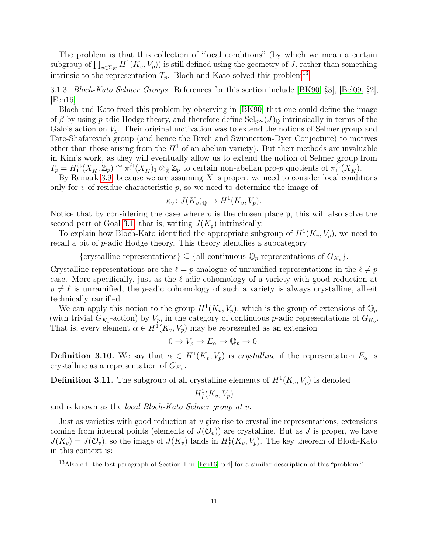The problem is that this collection of "local conditions" (by which we mean a certain subgroup of  $\prod_{v \in \Sigma_K} H^1(K_v, V_p)$ ) is still defined using the geometry of J, rather than something intrinsic to the representation  $T_p$ . Bloch and Kato solved this problem<sup>[13](#page-10-0)</sup>.

<span id="page-10-1"></span>3.1.3. Bloch-Kato Selmer Groups. References for this section include [\[BK90,](#page-41-7) §3], [\[Bel09,](#page-41-9) §2], [\[Fen16\]](#page-41-8).

Bloch and Kato fixed this problem by observing in [\[BK90\]](#page-41-7) that one could define the image of β by using p-adic Hodge theory, and therefore define  $\text{Sel}_{p^{\infty}}(J)_{\mathbb{Q}}$  intrinsically in terms of the Galois action on  $V_p$ . Their original motivation was to extend the notions of Selmer group and Tate-Shafarevich group (and hence the Birch and Swinnerton-Dyer Conjecture) to motives other than those arising from the  $H<sup>1</sup>$  of an abelian variety). But their methods are invaluable in Kim's work, as they will eventually allow us to extend the notion of Selmer group from  $T_p = H_1^{\text{\'et}}(X_{\overline{K}}, \mathbb{Z}_p) \cong \pi_1^{\text{\'et}}(X_{\overline{K}})_1 \otimes_{\widehat{\mathbb{Z}}} \mathbb{Z}_p$  to certain non-abelian pro-p quotients of  $\pi_1^{\text{\'et}}(X_{\overline{K}})$ .

By Remark [3.9,](#page-9-1) because we are assuming  $X$  is proper, we need to consider local conditions only for  $v$  of residue characteristic  $p$ , so we need to determine the image of

$$
\kappa_v \colon J(K_v)_{\mathbb{Q}} \to H^1(K_v, V_p).
$$

Notice that by considering the case where  $v$  is the chosen place  $\mathfrak{p}$ , this will also solve the second part of Goal [3.1;](#page-6-4) that is, writing  $J(K_p)$  intrinsically.

To explain how Bloch-Kato identified the appropriate subgroup of  $H^1(K_v, V_p)$ , we need to recall a bit of p-adic Hodge theory. This theory identifies a subcategory

{crystalline representations}  $\subseteq$  {all continuous  $\mathbb{Q}_p$ -representations of  $G_{K_v}$ }.

Crystalline representations are the  $\ell = p$  analogue of unramified representations in the  $\ell \neq p$ case. More specifically, just as the  $\ell$ -adic cohomology of a variety with good reduction at  $p \neq \ell$  is unramified, the p-adic cohomology of such a variety is always crystalline, albeit technically ramified.

We can apply this notion to the group  $H^1(K_v, V_p)$ , which is the group of extensions of  $\mathbb{Q}_p$ (with trivial  $G_{K_v}$ -action) by  $V_p$ , in the category of continuous p-adic representations of  $G_{K_v}$ . That is, every element  $\alpha \in H^1(K_v, V_p)$  may be represented as an extension

$$
0 \to V_p \to E_\alpha \to \mathbb{Q}_p \to 0.
$$

**Definition 3.10.** We say that  $\alpha \in H^1(K_v, V_p)$  is *crystalline* if the representation  $E_{\alpha}$  is crystalline as a representation of  $G_{K_v}$ .

**Definition 3.11.** The subgroup of all crystalline elements of  $H^1(K_v, V_p)$  is denoted

$$
H^1_f(K_v,V_p)
$$

and is known as the local Bloch-Kato Selmer group at v.

Just as varieties with good reduction at  $v$  give rise to crystalline representations, extensions coming from integral points (elements of  $J(\mathcal{O}_v)$ ) are crystalline. But as J is proper, we have  $J(K_v) = J(\mathcal{O}_v)$ , so the image of  $J(K_v)$  lands in  $H^1_f(K_v, V_p)$ . The key theorem of Bloch-Kato in this context is:

<span id="page-10-0"></span><sup>13</sup>Also c.f. the last paragraph of Section 1 in [\[Fen16,](#page-41-8) p.4] for a similar description of this "problem."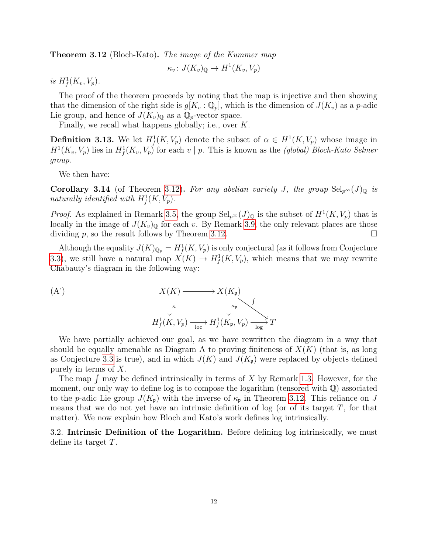<span id="page-11-1"></span>**Theorem 3.12** (Bloch-Kato). The image of the Kummer map

 $\kappa_v: J(K_v)_{\mathbb{Q}} \to H^1(K_v, V_p)$ 

is  $H^1_f(K_v, V_p)$ .

The proof of the theorem proceeds by noting that the map is injective and then showing that the dimension of the right side is  $g[K_v : \mathbb{Q}_p]$ , which is the dimension of  $J(K_v)$  as a p-adic Lie group, and hence of  $J(K_v)_{\mathbb{Q}}$  as a  $\mathbb{Q}_p$ -vector space.

Finally, we recall what happens globally; i.e., over K.

**Definition 3.13.** We let  $H^1_f(K, V_p)$  denote the subset of  $\alpha \in H^1(K, V_p)$  whose image in  $H^1(K_v, V_p)$  lies in  $H^1_f(K_v, V_p)$  for each  $v \mid p$ . This is known as the *(global) Bloch-Kato Selmer* group.

We then have:

**Corollary 3.14** (of Theorem [3.12\)](#page-11-1). For any abelian variety J, the group  $\text{Sel}_{p^{\infty}}(J)_{\mathbb{Q}}$  is naturally identified with  $H^1_f(K, V_p)$ .

*Proof.* As explained in Remark [3.5,](#page-8-1) the group  $\text{Sel}_{p^{\infty}}(J)_{\mathbb{Q}}$  is the subset of  $H^1(K, V_p)$  that is locally in the image of  $J(K_v)_{\mathbb{Q}}$  for each v. By Remark [3.9,](#page-9-1) the only relevant places are those dividing p, so the result follows by Theorem [3.12.](#page-11-1)

Although the equality  $J(K)_{\mathbb{Q}_p} = H^1_f(K, V_p)$  is only conjectural (as it follows from Conjecture [3.3\)](#page-8-0), we still have a natural map  $X(K) \to H^1_f(K, V_p)$ , which means that we may rewrite Chabauty's diagram in the following way:

(A')  
\n
$$
X(K) \longrightarrow X(K_{\mathfrak{p}})
$$
\n
$$
\downarrow^{\kappa} \qquad \qquad \downarrow^{\kappa_{\mathfrak{p}}}
$$
\n
$$
H_f^1(K, V_p) \longrightarrow H_f^1(K_{\mathfrak{p}}, V_p) \longrightarrow_{\text{log}} T
$$

We have partially achieved our goal, as we have rewritten the diagram in a way that should be equally amenable as Diagram A to proving finiteness of  $X(K)$  (that is, as long as Conjecture [3.3](#page-8-0) is true), and in which  $J(K)$  and  $J(K_p)$  were replaced by objects defined purely in terms of X.

The map  $\int$  may be defined intrinsically in terms of X by Remark [1.3.](#page-3-2) However, for the moment, our only way to define log is to compose the logarithm (tensored with Q) associated to the p-adic Lie group  $J(K_p)$  with the inverse of  $\kappa_p$  in Theorem [3.12.](#page-11-1) This reliance on J means that we do not yet have an intrinsic definition of log (or of its target  $T$ , for that matter). We now explain how Bloch and Kato's work defines log intrinsically.

<span id="page-11-0"></span>3.2. Intrinsic Definition of the Logarithm. Before defining log intrinsically, we must define its target T.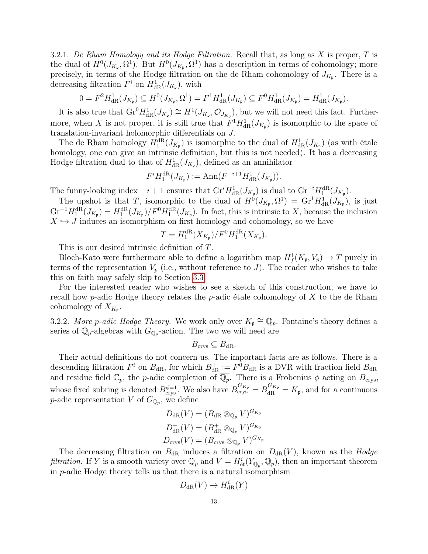<span id="page-12-1"></span>3.2.1. De Rham Homology and its Hodge Filtration. Recall that, as long as X is proper,  $T$  is the dual of  $H^0(J_{K_{\mathfrak{p}}}, \Omega^1)$ . But  $H^0(J_{K_{\mathfrak{p}}}, \Omega^1)$  has a description in terms of cohomology; more precisely, in terms of the Hodge filtration on the de Rham cohomology of  $J_{K_{\mathfrak{p}}}$ . There is a decreasing filtration  $F^i$  on  $H^1_{\text{dR}}(J_{K_{\mathfrak{p}}})$ , with

$$
0 = F^2 H_{\mathrm{dR}}^1(J_{K_{\mathfrak{p}}}) \subseteq H^0(J_{K_{\mathfrak{p}}}, \Omega^1) = F^1 H_{\mathrm{dR}}^1(J_{K_{\mathfrak{p}}}) \subseteq F^0 H_{\mathrm{dR}}^1(J_{K_{\mathfrak{p}}}) = H_{\mathrm{dR}}^1(J_{K_{\mathfrak{p}}}).
$$

It is also true that  $\text{Gr}^0 H^1_{\text{dR}}(J_{K_{\mathfrak{p}}}) \cong H^1(J_{K_{\mathfrak{p}}}, \mathcal{O}_{J_{K_{\mathfrak{p}}}})$ , but we will not need this fact. Furthermore, when X is not proper, it is still true that  $F^1 H_{\text{dR}}^1(J_{K_{\mathfrak{p}}})$  is isomorphic to the space of translation-invariant holomorphic differentials on J.

The de Rham homology  $H_1^{\text{dR}}(J_{K_{\mathfrak{p}}})$  is isomorphic to the dual of  $H_{\text{dR}}^1(J_{K_{\mathfrak{p}}})$  (as with étale homology, one can give an intrinsic definition, but this is not needed). It has a decreasing Hodge filtration dual to that of  $H^1_{\text{dR}}(J_{K_{\mathfrak{p}}})$ , defined as an annihilator

$$
F^i H_1^{\mathrm{dR}}(J_{K_{\mathfrak{p}}}) := \mathrm{Ann}(F^{-i+1} H^1_{\mathrm{dR}}(J_{K_{\mathfrak{p}}})).
$$

The funny-looking index  $-i+1$  ensures that  $\mathrm{Gr}^i H^1_{\mathrm{dR}}(J_{K_{\mathfrak{p}}})$  is dual to  $\mathrm{Gr}^{-i}H_1^{\mathrm{dR}}(J_{K_{\mathfrak{p}}})$ .

The upshot is that T, isomorphic to the dual of  $H^0(J_{K_{\mathfrak{p}}}, \Omega^1) = \text{Gr}^1 H^1_{\text{dR}}(J_{K_{\mathfrak{p}}}),$  is just  $\text{Gr}^{-1}H_1^{\text{dR}}(J_{K_{\mathfrak{p}}})=H_1^{\text{dR}}(J_{K_{\mathfrak{p}}})/F^0H_1^{\text{dR}}(J_{K_{\mathfrak{p}}})$ . In fact, this is intrinsic to X, because the inclusion  $X \hookrightarrow J$  induces an isomorphism on first homology and cohomology, so we have

$$
T = H_1^{\text{dR}}(X_{K_{\mathfrak{p}}})/F^0 H_1^{\text{dR}}(X_{K_{\mathfrak{p}}}).
$$

This is our desired intrinsic definition of T.

Bloch-Kato were furthermore able to define a logarithm map  $H^1_f(K_{\mathfrak{p}}, V_p) \to T$  purely in terms of the representation  $V_p$  (i.e., without reference to J). The reader who wishes to take this on faith may safely skip to Section [3.3.](#page-14-0)

For the interested reader who wishes to see a sketch of this construction, we have to recall how *p*-adic Hodge theory relates the *p*-adic étale cohomology of  $X$  to the de Rham cohomology of  $X_{K_{\mathfrak{p}}}.$ 

<span id="page-12-0"></span>3.2.2. More p-adic Hodge Theory. We work only over  $K_{\mathfrak{p}} \cong \mathbb{Q}_p$ . Fontaine's theory defines a series of  $\mathbb{Q}_p$ -algebras with  $G_{\mathbb{Q}_p}$ -action. The two we will need are

$$
B_{\mathrm{crys}} \subseteq B_{\mathrm{dR}}.
$$

Their actual definitions do not concern us. The important facts are as follows. There is a descending filtration  $F^i$  on  $B_{\rm dR}$ , for which  $B_{\rm dR}^+ := F^0 B_{\rm dR}$  is a DVR with fraction field  $B_{\rm dR}$ and residue field  $\mathbb{C}_p$ , the *p*-adic completion of  $\overline{\mathbb{Q}_p}$ . There is a Frobenius  $\phi$  acting on  $B_{\text{crys}}$ , whose fixed subring is denoted  $B_{\text{crys}}^{\phi=1}$ . We also have  $B_{\text{crys}}^{G_{K_{\mathfrak{p}}}} = B_{\text{dR}}^{G_{K_{\mathfrak{p}}}} = K_{\mathfrak{p}}$ , and for a continuous *p*-adic representation V of  $G_{\mathbb{Q}_p}$ , we define

$$
D_{\mathrm{dR}}(V) = (B_{\mathrm{dR}} \otimes_{\mathbb{Q}_p} V)^{G_{K_{\mathfrak{p}}}}
$$

$$
D_{\mathrm{dR}}^+(V) = (B_{\mathrm{dR}}^+ \otimes_{\mathbb{Q}_p} V)^{G_{K_{\mathfrak{p}}}}
$$

$$
D_{\mathrm{crys}}(V) = (B_{\mathrm{crys}} \otimes_{\mathbb{Q}_p} V)^{G_{K_{\mathfrak{p}}}}
$$

The decreasing filtration on  $B_{\rm dR}$  induces a filtration on  $D_{\rm dR}(V)$ , known as the *Hodge* filtration. If Y is a smooth variety over  $\mathbb{Q}_p$  and  $V = H^i_{\text{\'et}}(Y_{\overline{\mathbb{Q}_p}}, \mathbb{Q}_p)$ , then an important theorem in p-adic Hodge theory tells us that there is a natural isomorphism

$$
D_{\mathrm{dR}}(V) \to H_{\mathrm{dR}}^i(Y)
$$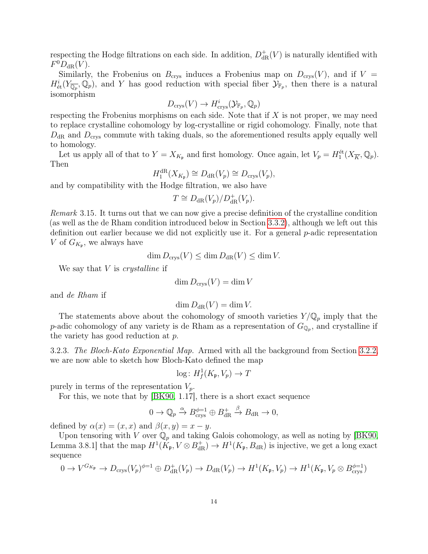respecting the Hodge filtrations on each side. In addition,  $D_{\text{dR}}^+(V)$  is naturally identified with  $F^0D_{\mathrm{dR}}(V)$ .

Similarly, the Frobenius on  $B_{\text{crys}}$  induces a Frobenius map on  $D_{\text{crys}}(V)$ , and if  $V =$  $H^i_{\text{\'et}}(Y_{\overline{\mathbb{Q}_p}},\mathbb{Q}_p)$ , and Y has good reduction with special fiber  $\mathcal{Y}_{\mathbb{F}_p}$ , then there is a natural isomorphism

$$
D_{\operatorname{crys}}(V) \to H^i_{\operatorname{crys}}(\mathcal{Y}_{\mathbb{F}_p}, \mathbb{Q}_p)
$$

respecting the Frobenius morphisms on each side. Note that if  $X$  is not proper, we may need to replace crystalline cohomology by log-crystalline or rigid cohomology. Finally, note that  $D_{\rm dR}$  and  $D_{\rm crys}$  commute with taking duals, so the aforementioned results apply equally well to homology.

Let us apply all of that to  $Y = X_{K_p}$  and first homology. Once again, let  $V_p = H_1^{\text{\'et}}(X_{\overline{K}}, \mathbb{Q}_p)$ . Then

$$
H_1^{\mathrm{dR}}(X_{K_{\mathfrak{p}}}) \cong D_{\mathrm{dR}}(V_p) \cong D_{\mathrm{crys}}(V_p),
$$

and by compatibility with the Hodge filtration, we also have

$$
T \cong D_{\rm dR}(V_p)/D_{\rm dR}^+(V_p).
$$

Remark 3.15. It turns out that we can now give a precise definition of the crystalline condition (as well as the de Rham condition introduced below in Section [3.3.2\)](#page-16-0), although we left out this definition out earlier because we did not explicitly use it. For a general  $p$ -adic representation V of  $G_{K_{\mathfrak{p}}},$  we always have

$$
\dim D_{\text{crys}}(V) \le \dim D_{\text{dR}}(V) \le \dim V.
$$

We say that  $V$  is *crystalline* if

$$
\dim D_{\text{crys}}(V) = \dim V
$$

and de Rham if

$$
\dim D_{\mathrm{dR}}(V) = \dim V.
$$

The statements above about the cohomology of smooth varieties  $Y/\mathbb{Q}_p$  imply that the p-adic cohomology of any variety is de Rham as a representation of  $G_{\mathbb{Q}_p}$ , and crystalline if the variety has good reduction at p.

<span id="page-13-0"></span>3.2.3. The Bloch-Kato Exponential Map. Armed with all the background from Section [3.2.2,](#page-12-0) we are now able to sketch how Bloch-Kato defined the map

$$
\log: H^1_f(K_{\mathfrak{p}}, V_p) \to T
$$

purely in terms of the representation  $V_p$ .

For this, we note that by [\[BK90,](#page-41-7) 1.17], there is a short exact sequence

$$
0 \to \mathbb{Q}_p \xrightarrow{\alpha} B_{\text{crys}}^{\phi=1} \oplus B_{\text{dR}}^+ \xrightarrow{\beta} B_{\text{dR}} \to 0,
$$

defined by  $\alpha(x) = (x, x)$  and  $\beta(x, y) = x - y$ .

Upon tensoring with V over  $\mathbb{Q}_p$  and taking Galois cohomology, as well as noting by [\[BK90,](#page-41-7) Lemma 3.8.1] that the map  $H^1(\hat{K}_{\mathfrak{p}}, V \otimes B_{\mathrm{dR}}^+) \to H^1(K_{\mathfrak{p}}, B_{\mathrm{dR}})$  is injective, we get a long exact sequence

$$
0 \to V^{G_{K_{\mathfrak{p}}}} \to D_{\text{crys}}(V_p)^{\phi=1} \oplus D_{\text{dR}}^+(V_p) \to D_{\text{dR}}(V_p) \to H^1(K_{\mathfrak{p}}, V_p) \to H^1(K_{\mathfrak{p}}, V_p \otimes B_{\text{crys}}^{\phi=1})
$$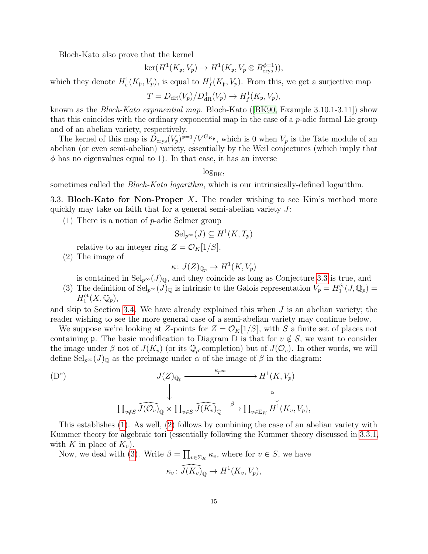Bloch-Kato also prove that the kernel

$$
\ker(H^1(K_{\mathfrak{p}}, V_p) \to H^1(K_{\mathfrak{p}}, V_p \otimes B_{\text{crys}}^{\phi=1})),
$$

which they denote  $H_e^1(K_p, V_p)$ , is equal to  $H_f^1(K_p, V_p)$ . From this, we get a surjective map

$$
T = D_{\mathrm{dR}}(V_p)/D_{\mathrm{dR}}^+(V_p) \to H^1_f(K_{\mathfrak{p}}, V_p),
$$

known as the Bloch-Kato exponential map. Bloch-Kato ([\[BK90,](#page-41-7) Example 3.10.1-3.11]) show that this coincides with the ordinary exponential map in the case of a p-adic formal Lie group and of an abelian variety, respectively.

The kernel of this map is  $D_{\text{crys}}(V_p)^{\phi=1}/V^{G_{K_p}}$ , which is 0 when  $V_p$  is the Tate module of an abelian (or even semi-abelian) variety, essentially by the Weil conjectures (which imply that  $\phi$  has no eigenvalues equal to 1). In that case, it has an inverse

 $log_{BK}$ 

sometimes called the *Bloch-Kato logarithm*, which is our intrinsically-defined logarithm.

<span id="page-14-0"></span>3.3. Bloch-Kato for Non-Proper  $X$ . The reader wishing to see Kim's method more quickly may take on faith that for a general semi-abelian variety J:

<span id="page-14-1"></span>(1) There is a notion of  $p$ -adic Selmer group

$$
Sel_{p^{\infty}}(J) \subseteq H^1(K, T_p)
$$

relative to an integer ring  $Z = \mathcal{O}_K[1/S],$ 

<span id="page-14-2"></span>(2) The image of

$$
\kappa\colon J(Z)_{\mathbb{Q}_p}\to H^1(K,V_p)
$$

is contained in  $\text{Sel}_{p^{\infty}}(J)_{\mathbb{Q}}$ , and they coincide as long as Conjecture [3.3](#page-8-0) is true, and

<span id="page-14-3"></span>(3) The definition of  $\text{Sel}_{p^{\infty}}(J)_{\mathbb{Q}}$  is intrinsic to the Galois representation  $V_p = H_1^{\text{\'et}}(J, \mathbb{Q}_p)$  $H_1^{\text{\'et}}(X, {\mathbb Q}_p),$ 

and skip to Section [3.4.](#page-17-0) We have already explained this when  $J$  is an abelian variety; the reader wishing to see the more general case of a semi-abelian variety may continue below.

We suppose we're looking at Z-points for  $Z = \mathcal{O}_K[1/S]$ , with S a finite set of places not containing p. The basic modification to Diagram D is that for  $v \notin S$ , we want to consider the image under  $\beta$  not of  $J(K_v)$  (or its  $\mathbb{Q}_p$ -completion) but of  $J(\mathcal{O}_v)$ . In other words, we will define  $\text{Sel}_{p^{\infty}}(J)_{\mathbb{Q}}$  as the preimage under  $\alpha$  of the image of  $\beta$  in the diagram:

(D")  

$$
J(Z)_{\mathbb{Q}_p} \xrightarrow{\kappa_p \infty} H^1(K, V_p)
$$

$$
\downarrow \qquad \qquad \downarrow \qquad \qquad \downarrow
$$

$$
\prod_{v \notin S} \widehat{J(\mathcal{O}_v)}_{\mathbb{Q}} \times \prod_{v \in S} \widehat{J(K_v)}_{\mathbb{Q}} \xrightarrow{\beta} \prod_{v \in \Sigma_K} H^1(K_v, V_p),
$$

This establishes [\(1\)](#page-14-1). As well, [\(2\)](#page-14-2) follows by combining the case of an abelian variety with Kummer theory for algebraic tori (essentially following the Kummer theory discussed in [3.3.1,](#page-15-0) with K in place of  $K_v$ ).

Now, we deal with [\(3\)](#page-14-3). Write  $\beta = \prod_{v \in \Sigma_K} \kappa_v$ , where for  $v \in S$ , we have

$$
\kappa_v \colon \widehat{J(K_v)}_{\mathbb{Q}} \to H^1(K_v, V_p),
$$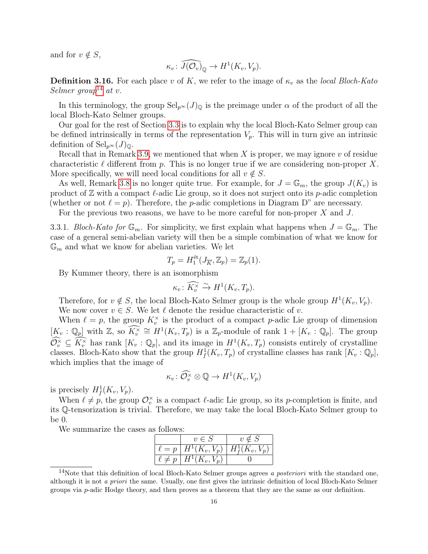and for  $v \notin S$ ,

$$
\kappa_v \colon \widehat{J(\mathcal{O}_v)}_{\mathbb{Q}} \to H^1(K_v, V_p).
$$

**Definition 3.16.** For each place v of K, we refer to the image of  $\kappa_v$  as the local Bloch-Kato Selmer  $qroup<sup>14</sup>$  $qroup<sup>14</sup>$  $qroup<sup>14</sup>$  at v.

In this terminology, the group  $\text{Sel}_{p^{\infty}}(J)_{\mathbb{Q}}$  is the preimage under  $\alpha$  of the product of all the local Bloch-Kato Selmer groups.

Our goal for the rest of Section [3.3](#page-14-0) is to explain why the local Bloch-Kato Selmer group can be defined intrinsically in terms of the representation  $V_p$ . This will in turn give an intrinsic definition of  $\operatorname{Sel}_{p^{\infty}}(J)_{\mathbb{Q}}$ .

Recall that in Remark [3.9,](#page-9-1) we mentioned that when X is proper, we may ignore  $v$  of residue characteristic  $\ell$  different from p. This is no longer true if we are considering non-proper X. More specifically, we will need local conditions for all  $v \notin S$ .

As well, Remark [3.8](#page-9-2) is no longer quite true. For example, for  $J = \mathbb{G}_m$ , the group  $J(K_v)$  is product of  $\mathbb Z$  with a compact  $\ell$ -adic Lie group, so it does not surject onto its p-adic completion (whether or not  $\ell = p$ ). Therefore, the p-adic completions in Diagram D" are necessary.

For the previous two reasons, we have to be more careful for non-proper X and J.

<span id="page-15-0"></span>3.3.1. Bloch-Kato for  $\mathbb{G}_m$ . For simplicity, we first explain what happens when  $J = \mathbb{G}_m$ . The case of a general semi-abelian variety will then be a simple combination of what we know for  $\mathbb{G}_m$  and what we know for abelian varieties. We let

$$
T_p = H_1^{\text{\'et}}(J_{\overline{K}}, \mathbb{Z}_p) = \mathbb{Z}_p(1).
$$

By Kummer theory, there is an isomorphism

$$
\kappa_v \colon \widehat{K_v^{\times}} \xrightarrow{\sim} H^1(K_v, T_p).
$$

Therefore, for  $v \notin S$ , the local Bloch-Kato Selmer group is the whole group  $H^1(K_v, V_p)$ . We now cover  $v \in S$ . We let  $\ell$  denote the residue characteristic of v.

When  $\ell = p$ , the group  $K_v^{\times}$  is the product of a compact p-adic Lie group of dimension  $[K_v : \mathbb{Q}_p]$  with  $\mathbb{Z}$ , so  $\widehat{K_v^{\times}} \cong H^1(K_v, T_p)$  is a  $\mathbb{Z}_p$ -module of rank  $1 + [K_v : \mathbb{Q}_p]$ . The group  $\widehat{\mathcal{O}_v^{\times}} \subseteq \widehat{K_v^{\times}}$  has rank  $[K_v : \mathbb{Q}_p]$ , and its image in  $H^1(K_v, T_p)$  consists entirely of crystalline classes. Bloch-Kato show that the group  $H^1_f(K_v, T_p)$  of crystalline classes has rank  $[K_v : \mathbb{Q}_p],$ which implies that the image of

$$
\kappa_v \colon \widehat{\mathcal{O}_v^\times} \otimes \mathbb{Q} \to H^1(K_v, V_p)
$$

is precisely  $H^1_f(K_v, V_p)$ .

When  $\ell \neq p$ , the group  $\mathcal{O}_v^{\times}$  is a compact  $\ell$ -adic Lie group, so its p-completion is finite, and its Q-tensorization is trivial. Therefore, we may take the local Bloch-Kato Selmer group to be 0.

We summarize the cases as follows:

| $v \in S$                                   | $v \notin S$      |
|---------------------------------------------|-------------------|
| $\ell = p \mid H^1(K_v, V_p)$               | $H^1_f(K_v, V_p)$ |
| $\overline{\ell \neq p \mid H^1(K_v, V_p)}$ |                   |

<span id="page-15-1"></span><sup>&</sup>lt;sup>14</sup>Note that this definition of local Bloch-Kato Selmer groups agrees a *posteriori* with the standard one, although it is not a priori the same. Usually, one first gives the intrinsic definition of local Bloch-Kato Selmer groups via p-adic Hodge theory, and then proves as a theorem that they are the same as our definition.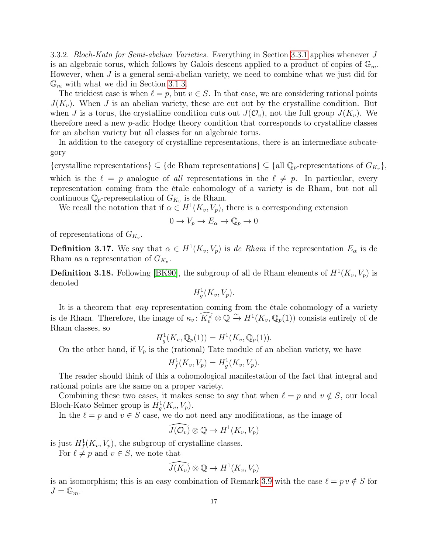<span id="page-16-0"></span>3.3.2. Bloch-Kato for Semi-abelian Varieties. Everything in Section [3.3.1](#page-15-0) applies whenever J is an algebraic torus, which follows by Galois descent applied to a product of copies of  $\mathbb{G}_m$ . However, when  $J$  is a general semi-abelian variety, we need to combine what we just did for  $\mathbb{G}_m$  with what we did in Section [3.1.3.](#page-10-1)

The trickiest case is when  $\ell = p$ , but  $v \in S$ . In that case, we are considering rational points  $J(K_v)$ . When J is an abelian variety, these are cut out by the crystalline condition. But when J is a torus, the crystalline condition cuts out  $J(\mathcal{O}_v)$ , not the full group  $J(K_v)$ . We therefore need a new p-adic Hodge theory condition that corresponds to crystalline classes for an abelian variety but all classes for an algebraic torus.

In addition to the category of crystalline representations, there is an intermediate subcategory

{crystalline representations}  $\subseteq$  {de Rham representations}  $\subseteq$  {all  $\mathbb{Q}_p$ -representations of  $G_{K_v}$ }, which is the  $\ell = p$  analogue of all representations in the  $\ell \neq p$ . In particular, every representation coming from the étale cohomology of a variety is de Rham, but not all continuous  $\mathbb{Q}_p$ -representation of  $G_{K_v}$  is de Rham.

We recall the notation that if  $\alpha \in H^1(K_v, V_p)$ , there is a corresponding extension

$$
0 \to V_p \to E_\alpha \to \mathbb{Q}_p \to 0
$$

of representations of  $G_{K_v}$ .

**Definition 3.17.** We say that  $\alpha \in H^1(K_v, V_p)$  is de Rham if the representation  $E_\alpha$  is de Rham as a representation of  $G_{K_v}$ .

**Definition 3.18.** Following [\[BK90\]](#page-41-7), the subgroup of all de Rham elements of  $H^1(K_v, V_p)$  is denoted

$$
H_g^1(K_v, V_p).
$$

It is a theorem that any representation coming from the étale cohomology of a variety is de Rham. Therefore, the image of  $\kappa_v \colon \widehat{K_v^{\times}} \otimes \mathbb{Q} \xrightarrow{\sim} H^1(K_v, \mathbb{Q}_p(1))$  consists entirely of de Rham classes, so

$$
H_g^1(K_v, \mathbb{Q}_p(1)) = H^1(K_v, \mathbb{Q}_p(1)).
$$

On the other hand, if  $V_p$  is the (rational) Tate module of an abelian variety, we have

$$
H^1_f(K_v, V_p) = H^1_g(K_v, V_p).
$$

The reader should think of this a cohomological manifestation of the fact that integral and rational points are the same on a proper variety.

Combining these two cases, it makes sense to say that when  $\ell = p$  and  $v \notin S$ , our local Bloch-Kato Selmer group is  $H_g^1(K_v, V_p)$ .

In the  $\ell = p$  and  $v \in S$  case, we do not need any modifications, as the image of

$$
\widehat{J(\mathcal{O}_v)}\otimes \mathbb{Q}\to H^1(K_v,V_p)
$$

is just  $H_f^1(K_v, V_p)$ , the subgroup of crystalline classes.

For  $\ell \neq p$  and  $v \in S$ , we note that

$$
\widehat{J(K_v)} \otimes \mathbb{Q} \to H^1(K_v, V_p)
$$

is an isomorphism; this is an easy combination of Remark [3.9](#page-9-1) with the case  $\ell = p v \notin S$  for  $J=\mathbb{G}_m$ .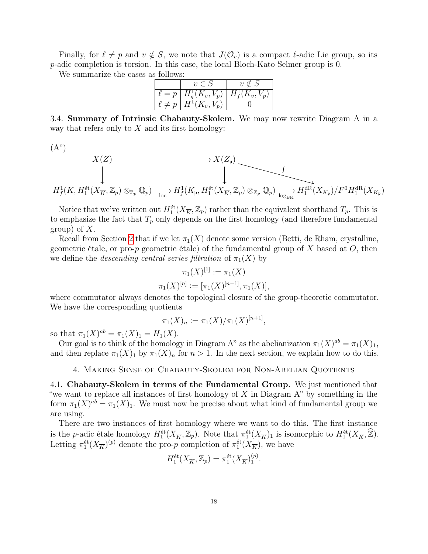Finally, for  $\ell \neq p$  and  $v \notin S$ , we note that  $J(\mathcal{O}_v)$  is a compact  $\ell$ -adic Lie group, so its p-adic completion is torsion. In this case, the local Bloch-Kato Selmer group is 0.

We summarize the cases as follows:

|               | $v \in S$                                                | $v \notin S$ |
|---------------|----------------------------------------------------------|--------------|
|               | $\ell = p \mid H^1_{q}(K_v, V_p) \mid H^1_{f}(K_v, V_p)$ |              |
| $\ell \neq p$ | $H^1(K_v,V_p)$                                           |              |

<span id="page-17-0"></span>3.4. Summary of Intrinsic Chabauty-Skolem. We may now rewrite Diagram A in a way that refers only to  $X$  and its first homology:

 $(A")$ 

$$
X(Z) \longrightarrow X(Z_{\mathfrak{p}})
$$
  

$$
\downarrow \qquad \qquad \downarrow
$$
  

$$
H_f^1(K, H_1^{\text{\'et}}(X_{\overline{K}}, \mathbb{Z}_p) \otimes_{\mathbb{Z}_p} \mathbb{Q}_p) \xrightarrow[\text{loc}]{}
$$
  

$$
H_f^1(K, H_1^{\text{\'et}}(X_{\overline{K}}, \mathbb{Z}_p) \otimes_{\mathbb{Z}_p} H_f^1(K_{\mathfrak{p}}, H_1^{\text{\'et}}(X_{\overline{K}}, \mathbb{Z}_p) \otimes_{\mathbb{Z}_p} \mathbb{Q}_p) \xrightarrow[\text{log}_{\text{BK}}]{}
$$
  

$$
H_1^{\text{dR}}(X_{K_{\mathfrak{p}}})/F^0 H_1^{\text{dR}}(X_{K_{\mathfrak{p}}})
$$

Notice that we've written out  $H_1^{\text{\'et}}(X_{\overline{K}}, \mathbb{Z}_p)$  rather than the equivalent shorthand  $T_p$ . This is to emphasize the fact that  $T_p$  only depends on the first homology (and therefore fundamental group) of  $X$ .

Recall from Section [2](#page-5-0) that if we let  $\pi_1(X)$  denote some version (Betti, de Rham, crystalline, geometric étale, or pro-p geometric étale) of the fundamental group of X based at  $O$ , then we define the *descending central series filtration* of  $\pi_1(X)$  by

$$
\pi_1(X)^{[1]} := \pi_1(X)
$$

$$
\pi_1(X)^{[n]} := [\pi_1(X)^{[n-1]}, \pi_1(X)],
$$

where commutator always denotes the topological closure of the group-theoretic commutator. We have the corresponding quotients

$$
\pi_1(X)_n := \pi_1(X)/\pi_1(X)^{[n+1]},
$$

so that  $\pi_1(X)^{ab} = \pi_1(X)_1 = H_1(X)$ .

Our goal is to think of the homology in Diagram A" as the abelianization  $\pi_1(X)^{ab} = \pi_1(X)_1$ , and then replace  $\pi_1(X)_1$  by  $\pi_1(X)_n$  for  $n > 1$ . In the next section, we explain how to do this.

4. Making Sense of Chabauty-Skolem for Non-Abelian Quotients

<span id="page-17-2"></span><span id="page-17-1"></span>4.1. Chabauty-Skolem in terms of the Fundamental Group. We just mentioned that "we want to replace all instances of first homology of  $X$  in Diagram  $A$ " by something in the form  $\pi_1(X)^{ab} = \pi_1(X)_1$ . We must now be precise about what kind of fundamental group we are using.

There are two instances of first homology where we want to do this. The first instance is the p-adic étale homology  $H_1^{\text{\'et}}(X_{\overline{K}}, \mathbb{Z}_p)$ . Note that  $\pi_1^{\text{\'et}}(X_{\overline{K}})_1$  is isomorphic to  $H_1^{\text{\'et}}(X_{\overline{K}}, \widehat{\mathbb{Z}})$ . Letting  $\pi_1^{\text{\'et}}(X_{\overline{K}})^{(p)}$  denote the pro-p completion of  $\pi_1^{\text{\'et}}(X_{\overline{K}})$ , we have

$$
H_1^{\text{\'et}}(X_{\overline{K}}, \mathbb{Z}_p) = \pi_1^{\text{\'et}}(X_{\overline{K}})_1^{(p)}.
$$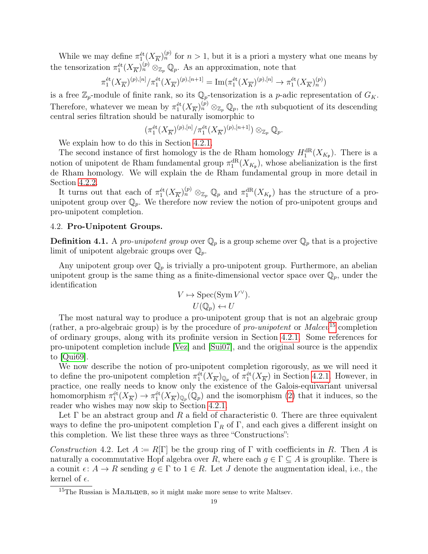While we may define  $\pi_1^{\text{\'et}}(X_{\overline{K}})_n^{(p)}$  for  $n>1$ , but it is a priori a mystery what one means by the tensorization  $\pi_1^{\text{\'et}}(X_{\overline{K}})_n^{(p)} \otimes_{\mathbb{Z}_p} \mathbb{Q}_p$ . As an approximation, note that

$$
\pi_1^{\text{\'et}}(X_{\overline{K}})^{(p),[n]}/\pi_1^{\text{\'et}}(X_{\overline{K}})^{(p),[n+1]}=\text{Im}(\pi_1^{\text{\'et}}(X_{\overline{K}})^{(p),[n]}\to \pi_1^{\text{\'et}}(X_{\overline{K}})^{(p)}_n)
$$

is a free  $\mathbb{Z}_p$ -module of finite rank, so its  $\mathbb{Q}_p$ -tensorization is a p-adic representation of  $G_K$ . Therefore, whatever we mean by  $\pi_1^{\text{\'et}}(X_{\overline{K}})_n^{(p)} \otimes_{\mathbb{Z}_p} \mathbb{Q}_p$ , the *n*th subquotient of its descending central series filtration should be naturally isomorphic to

$$
\left(\pi_1^{\text{\'et}}(X_{\overline{K}})^{(p),[n]}/\pi_1^{\text{\'et}}(X_{\overline{K}})^{(p),[n+1]}\right)\otimes_{\mathbb{Z}_p}\mathbb{Q}_p.
$$

We explain how to do this in Section [4.2.1.](#page-20-0)

The second instance of first homology is the de Rham homology  $H_1^{\text{dR}}(X_{K_{\mathfrak{p}}})$ . There is a notion of unipotent de Rham fundamental group  $\pi_1^{\text{dR}}(X_{K_{\mathfrak{p}}})$ , whose abelianization is the first de Rham homology. We will explain the de Rham fundamental group in more detail in Section [4.2.2.](#page-21-0)

It turns out that each of  $\pi_1^{\text{\'et}}(X_{\overline{K}})_n^{(p)} \otimes_{\mathbb{Z}_p} \mathbb{Q}_p$  and  $\pi_1^{\text{dR}}(X_{K_{\mathfrak{p}}})$  has the structure of a prounipotent group over  $\mathbb{Q}_p$ . We therefore now review the notion of pro-unipotent groups and pro-unipotent completion.

### <span id="page-18-0"></span>4.2. Pro-Unipotent Groups.

**Definition 4.1.** A pro-unipotent group over  $\mathbb{Q}_p$  is a group scheme over  $\mathbb{Q}_p$  that is a projective limit of unipotent algebraic groups over  $\mathbb{Q}_p$ .

Any unipotent group over  $\mathbb{Q}_p$  is trivially a pro-unipotent group. Furthermore, an abelian unipotent group is the same thing as a finite-dimensional vector space over  $\mathbb{Q}_p$ , under the identification

$$
V \mapsto \operatorname{Spec}(\operatorname{Sym} V^{\vee}).
$$
  

$$
U(\mathbb{Q}_p) \leftarrow U
$$

The most natural way to produce a pro-unipotent group that is not an algebraic group (rather, a pro-algebraic group) is by the procedure of *pro-unipotent* or  $Maleev^{15}$  $Maleev^{15}$  $Maleev^{15}$  completion of ordinary groups, along with its profinite version in Section [4.2.1.](#page-20-0) Some references for pro-unipotent completion include [\[Vez\]](#page-42-3) and [\[Sui07\]](#page-42-4), and the original source is the appendix to [\[Qui69\]](#page-42-5).

We now describe the notion of pro-unipotent completion rigorously, as we will need it to define the pro-unipotent completion  $\pi_1^{\text{\'et}}(X_{\overline{K}})_{\mathbb{Q}_p}$  of  $\pi_1^{\text{\'et}}(X_{\overline{K}})$  in Section [4.2.1.](#page-20-0) However, in practice, one really needs to know only the existence of the Galois-equivariant universal homomorphism  $\pi_1^{\text{\'et}}(X_{\overline{K}}) \to \pi_1^{\text{\'et}}(X_{\overline{K}})_{\mathbb{Q}_p}(\mathbb{Q}_p)$  and the isomorphism [\(2\)](#page-20-1) that it induces, so the reader who wishes may now skip to Section [4.2.1.](#page-20-0)

Let  $\Gamma$  be an abstract group and R a field of characteristic 0. There are three equivalent ways to define the pro-unipotent completion  $\Gamma_R$  of  $\Gamma$ , and each gives a different insight on this completion. We list these three ways as three "Constructions":

<span id="page-18-2"></span>Construction 4.2. Let  $A \coloneqq R[\Gamma]$  be the group ring of  $\Gamma$  with coefficients in R. Then A is naturally a cocommutative Hopf algebra over R, where each  $q \in \Gamma \subset A$  is grouplike. There is a counit  $\epsilon: A \to R$  sending  $g \in \Gamma$  to  $1 \in R$ . Let J denote the augmentation ideal, i.e., the kernel of  $\epsilon$ .

<span id="page-18-1"></span> $15$ The Russian is Maльцев, so it might make more sense to write Maltsev.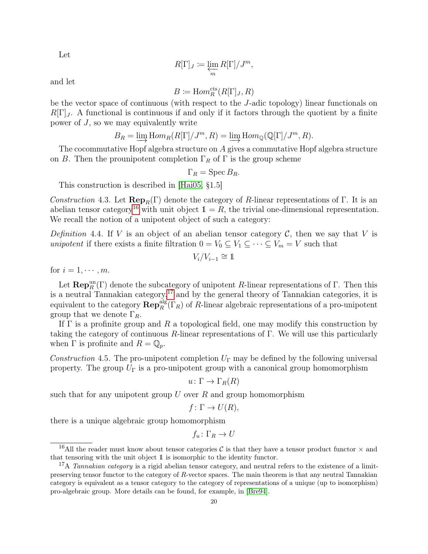Let

$$
R[\Gamma]_J := \varprojlim_m R[\Gamma]/J^m,
$$

and let

$$
B\coloneqq \mathrm{Hom}_R^{\mathrm{cts}}(R[\Gamma]_J,R)
$$

be the vector space of continuous (with respect to the J-adic topology) linear functionals on  $R[\Gamma]_J$ . A functional is continuous if and only if it factors through the quotient by a finite power of  $J$ , so we may equivalently write

$$
B_R = \varinjlim \text{Hom}_R(R[\Gamma]/J^m, R) = \varinjlim \text{Hom}_{\mathbb{Q}}(\mathbb{Q}[\Gamma]/J^m, R).
$$

The cocommutative Hopf algebra structure on A gives a commutative Hopf algebra structure on B. Then the prounipotent completion  $\Gamma_R$  of  $\Gamma$  is the group scheme

$$
\Gamma_R = \operatorname{Spec} B_R.
$$

This construction is described in [\[Hai05,](#page-41-10) §1.5]

<span id="page-19-2"></span>Construction 4.3. Let  $\mathbf{Rep}_R(\Gamma)$  denote the category of R-linear representations of Γ. It is an abelian tensor category<sup>[16](#page-19-0)</sup> with unit object  $1 = R$ , the trivial one-dimensional representation. We recall the notion of a unipotent object of such a category:

<span id="page-19-4"></span>Definition 4.4. If V is an object of an abelian tensor category C, then we say that V is unipotent if there exists a finite filtration  $0 = V_0 \subseteq V_1 \subseteq \cdots \subseteq V_m = V$  such that

$$
V_i/V_{i-1}\cong 1
$$

for  $i = 1, \cdots, m$ .

Let  $\mathbf{Rep}_R^{\text{un}}(\Gamma)$  denote the subcategory of unipotent R-linear representations of  $\Gamma$ . Then this is a neutral Tannakian category,<sup>[17](#page-19-1)</sup> and by the general theory of Tannakian categories, it is equivalent to the category  $\mathbf{Rep}_R^{\text{alg}}(\Gamma_R)$  of R-linear algebraic representations of a pro-unipotent group that we denote  $\Gamma_R$ .

If  $\Gamma$  is a profinite group and R a topological field, one may modify this construction by taking the category of continuous R-linear representations of  $\Gamma$ . We will use this particularly when  $\Gamma$  is profinite and  $R = \mathbb{Q}_p$ .

<span id="page-19-3"></span>Construction 4.5. The pro-unipotent completion  $U_{\Gamma}$  may be defined by the following universal property. The group  $U_{\Gamma}$  is a pro-unipotent group with a canonical group homomorphism

$$
u\colon \Gamma\to \Gamma_R(R)
$$

such that for any unipotent group  $U$  over  $R$  and group homomorphism

$$
f: \Gamma \to U(R),
$$

there is a unique algebraic group homomorphism

 $f_u \colon \Gamma_R \to U$ 

<span id="page-19-0"></span><sup>&</sup>lt;sup>16</sup>All the reader must know about tensor categories C is that they have a tensor product functor  $\times$  and that tensoring with the unit object 1 is isomorphic to the identity functor.

<span id="page-19-1"></span><sup>&</sup>lt;sup>17</sup>A *Tannakian category* is a rigid abelian tensor category, and neutral refers to the existence of a limitpreserving tensor functor to the category of R-vector spaces. The main theorem is that any neutral Tannakian category is equivalent as a tensor category to the category of representations of a unique (up to isomorphism) pro-algebraic group. More details can be found, for example, in [\[Bre94\]](#page-41-11).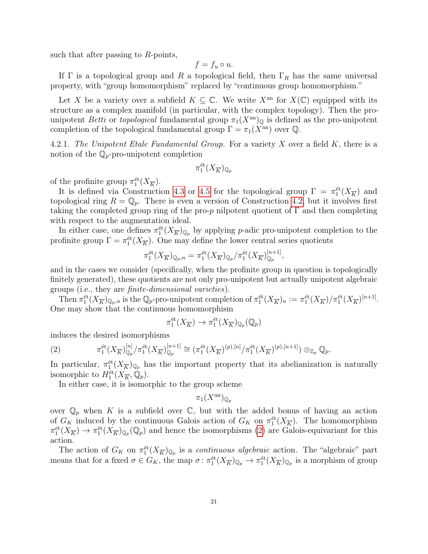such that after passing to  $R$ -points,

$$
f = f_u \circ u.
$$

If  $\Gamma$  is a topological group and R a topological field, then  $\Gamma_R$  has the same universal property, with "group homomorphism" replaced by "continuous group homomorphism."

Let X be a variety over a subfield  $K \subseteq \mathbb{C}$ . We write  $X^{\text{an}}$  for  $X(\mathbb{C})$  equipped with its structure as a complex manifold (in particular, with the complex topology). Then the prounipotent *Betti* or *topological* fundamental group  $\pi_1(X^{\text{an}})_{\mathbb{Q}}$  is defined as the pro-unipotent completion of the topological fundamental group  $\Gamma = \pi_1(X^{\text{an}})$  over  $\mathbb Q$ .

<span id="page-20-0"></span>4.2.1. The Unipotent Etale Fundamental Group. For a variety X over a field  $K$ , there is a notion of the  $\mathbb{Q}_p$ -pro-unipotent completion

$$
\pi_1^{\text{\'et}}(X_{\overline{K}})_{\mathbb{Q}_p}
$$

of the profinite group  $\pi_1^{\text{\'et}}(X_{\overline{K}})$ .

It is defined via Construction [4.3](#page-19-2) or [4.5](#page-19-3) for the topological group  $\Gamma = \pi_1^{\text{\'et}}(X_{\overline{K}})$  and topological ring  $R = \mathbb{Q}_p$ . There is even a version of Construction [4.2,](#page-18-2) but it involves first taking the completed group ring of the pro-p nilpotent quotient of  $\Gamma$  and then completing with respect to the augmentation ideal.

In either case, one defines  $\pi_1^{\text{\'et}}(X_{\overline{K}})_{\mathbb{Q}_p}$  by applying *p*-adic pro-unipotent completion to the profinite group  $\Gamma = \pi_1^{\text{\'et}}(X_{\overline{K}})$ . One may define the lower central series quotients

$$
\pi_1^{\text{\'et}}(X_{\overline{K}})_{\mathbb{Q}_p,n} = \pi_1^{\text{\'et}}(X_{\overline{K}})_{\mathbb{Q}_p}/\pi_1^{\text{\'et}}(X_{\overline{K}})_{\mathbb{Q}_p}^{[n+1]},
$$

and in the cases we consider (specifically, when the profinite group in question is topologically finitely generated), these quotients are not only pro-unipotent but actually unipotent algebraic groups (i.e., they are finite-dimensional varieties).

Then  $\pi_1^{\text{\'et}}(X_{\overline{K}})_{\mathbb{Q}_p,n}$  is the  $\mathbb{Q}_p$ -pro-unipotent completion of  $\pi_1^{\text{\'et}}(X_{\overline{K}})_n := \pi_1^{\text{\'et}}(X_{\overline{K}})/\pi_1^{\text{\'et}}(X_{\overline{K}})^{[n+1]}.$ One may show that the continuous homomorphism

$$
\pi_1^{\text{\'et}}(X_{\overline{K}}) \to \pi_1^{\text{\'et}}(X_{\overline{K}})_{{\mathbb Q}_p}({\mathbb Q}_p)
$$

induces the desired isomorphisms

<span id="page-20-1"></span>(2) 
$$
\pi_1^{\text{\'et}}(X_{\overline{K}})_{\mathbb{Q}_p}^{[n]}/\pi_1^{\text{\'et}}(X_{\overline{K}})_{\mathbb{Q}_p}^{[n+1]} \cong (\pi_1^{\text{\'et}}(X_{\overline{K}})^{(p),[n]}/\pi_1^{\text{\'et}}(X_{\overline{K}})^{(p),[n+1]}) \otimes_{\mathbb{Z}_p} \mathbb{Q}_p.
$$

In particular,  $\pi_1^{\text{\'et}}(X_{\overline{K}})_{\mathbb{Q}_p}$  has the important property that its abelianization is naturally isomorphic to  $H_1^{\text{\'et}}(X_{\overline{K}},\mathbb{Q}_p)$ .

In either case, it is isomorphic to the group scheme

$$
\pi_1(X^{\rm an})_{\mathbb{Q}_p}
$$

over  $\mathbb{Q}_p$  when K is a subfield over C, but with the added bonus of having an action of  $G_K$  induced by the continuous Galois action of  $G_K$  on  $\pi_1^{\text{\'et}}(X_{\overline{K}})$ . The homomorphism  $\pi_1^{\text{\'et}}(X_{\overline{K}}) \to \pi_1^{\text{\'et}}(X_{\overline{K}})_{\mathbb{Q}_p}(\mathbb{Q}_p)$  and hence the isomorphisms [\(2\)](#page-20-1) are Galois-equivariant for this action.

The action of  $G_K$  on  $\pi_1^{\text{\'et}}(X_{\overline{K}})_{\mathbb{Q}_p}$  is a *continuous algebraic* action. The "algebraic" part means that for a fixed  $\sigma \in G_K$ , the map  $\sigma: \pi_1^{\text{\'et}}(X_{\overline{K}})_{\mathbb{Q}_p} \to \pi_1^{\text{\'et}}(X_{\overline{K}})_{\mathbb{Q}_p}$  is a morphism of group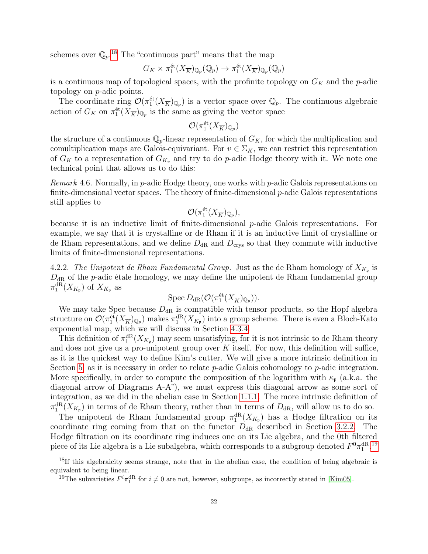schemes over  $\mathbb{Q}_p$ <sup>[18](#page-21-1)</sup> The "continuous part" means that the map

$$
G_K \times \pi_1^{\text{\'et}}(X_{\overline{K}})_{\mathbb{Q}_p}(\mathbb{Q}_p) \to \pi_1^{\text{\'et}}(X_{\overline{K}})_{\mathbb{Q}_p}(\mathbb{Q}_p)
$$

is a continuous map of topological spaces, with the profinite topology on  $G_K$  and the p-adic topology on p-adic points.

The coordinate ring  $\mathcal{O}(\pi_1^{\text{\'et}}(X_{\overline{K}})_{\mathbb{Q}_p})$  is a vector space over  $\mathbb{Q}_p$ . The continuous algebraic action of  $G_K$  on  $\pi_1^{\text{\'et}}(X_{\overline K})_{\mathbb{Q}_p}$  is the same as giving the vector space

$$
\mathcal{O}(\pi_1^{\text{\'et}}(X_{\overline{K}})_{\mathbb{Q}_p})
$$

the structure of a continuous  $\mathbb{Q}_p$ -linear representation of  $G_K$ , for which the multiplication and comultiplication maps are Galois-equivariant. For  $v \in \Sigma_K$ , we can restrict this representation of  $G_K$  to a representation of  $G_{K_v}$  and try to do p-adic Hodge theory with it. We note one technical point that allows us to do this:

<span id="page-21-3"></span>*Remark* 4.6. Normally, in *p*-adic Hodge theory, one works with *p*-adic Galois representations on finite-dimensional vector spaces. The theory of finite-dimensional  $p$ -adic Galois representations still applies to

$$
\mathcal{O}(\pi_1^{\text{\'et}}(X_{\overline{K}})_{\mathbb{Q}_p}),
$$

because it is an inductive limit of finite-dimensional p-adic Galois representations. For example, we say that it is crystalline or de Rham if it is an inductive limit of crystalline or de Rham representations, and we define  $D_{\text{dR}}$  and  $D_{\text{crys}}$  so that they commute with inductive limits of finite-dimensional representations.

<span id="page-21-0"></span>4.2.2. The Unipotent de Rham Fundamental Group. Just as the de Rham homology of  $X_{K_{\mathfrak{p}}}$  is  $D_{\rm dR}$  of the p-adic étale homology, we may define the unipotent de Rham fundamental group  $\pi_1^{\mathrm{dR}}(X_{K_{\mathfrak{p}}})$  of  $X_{K_{\mathfrak{p}}}$  as

$$
\operatorname{Spec} D_{\mathrm{dR}}(\mathcal{O}(\pi_1^{\text{\'et}}(X_{\overline{K}})_{\mathbb{Q}_p})).
$$

We may take Spec because  $D_{\rm dR}$  is compatible with tensor products, so the Hopf algebra structure on  $\mathcal{O}(\pi_1^{\text{\'et}}(X_{\overline{K}})_{\mathbb{Q}_p})$  makes  $\pi_1^{\text{dR}}(X_{K_{\mathfrak{p}}})$  into a group scheme. There is even a Bloch-Kato exponential map, which we will discuss in Section [4.3.4.](#page-24-0)

This definition of  $\pi_1^{\text{dR}}(X_{K_{\mathfrak{p}}})$  may seem unsatisfying, for it is not intrinsic to de Rham theory and does not give us a pro-unipotent group over  $K$  itself. For now, this definition will suffice, as it is the quickest way to define Kim's cutter. We will give a more intrinsic definition in Section [5,](#page-26-0) as it is necessary in order to relate  $p$ -adic Galois cohomology to  $p$ -adic integration. More specifically, in order to compute the composition of the logarithm with  $\kappa_{\mathfrak{p}}$  (a.k.a. the diagonal arrow of Diagrams A-A"), we must express this diagonal arrow as some sort of integration, as we did in the abelian case in Section [1.1.1.](#page-3-3) The more intrinsic definition of  $\pi_1^{\text{dR}}(X_{K_{\mathfrak{p}}})$  in terms of de Rham theory, rather than in terms of  $D_{\text{dR}}$ , will allow us to do so.

The unipotent de Rham fundamental group  $\pi_1^{\text{dR}}(X_{K_{\mathfrak{p}}})$  has a Hodge filtration on its coordinate ring coming from that on the functor  $D_{\rm dR}$  described in Section [3.2.2.](#page-12-0) The Hodge filtration on its coordinate ring induces one on its Lie algebra, and the 0th filtered piece of its Lie algebra is a Lie subalgebra, which corresponds to a subgroup denoted  $F^0\pi_1^{\mathrm{dR}}$ .<sup>[19](#page-21-2)</sup>

<span id="page-21-1"></span> $18$ If this algebraicity seems strange, note that in the abelian case, the condition of being algebraic is equivalent to being linear.

<span id="page-21-2"></span><sup>&</sup>lt;sup>19</sup>The subvarieties  $F^i \pi_1^{\text{dR}}$  for  $i \neq 0$  are not, however, subgroups, as incorrectly stated in [\[Kim05\]](#page-41-3).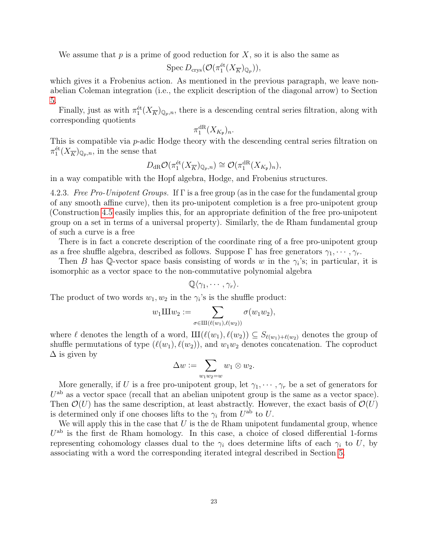We assume that  $p$  is a prime of good reduction for  $X$ , so it is also the same as

$$
\operatorname{Spec} D_{\operatorname{crys}}(\mathcal{O}(\pi_1^{\text{\'et}}(X_{\overline{K}})_{\mathbb{Q}_p})),
$$

which gives it a Frobenius action. As mentioned in the previous paragraph, we leave nonabelian Coleman integration (i.e., the explicit description of the diagonal arrow) to Section [5.](#page-26-0)

Finally, just as with  $\pi_1^{\text{\'et}}(X_{\overline{K}})_{\mathbb{Q}_p,n}$ , there is a descending central series filtration, along with corresponding quotients

$$
\pi_1^{\mathrm{dR}}(X_{K_{\mathfrak{p}}})_n.
$$

This is compatible via *p*-adic Hodge theory with the descending central series filtration on  $\pi_1^{\text{\'et}}(X_{\overline{K}})_{\mathbb{Q}_p,n}$ , in the sense that

$$
D_{\mathrm{dR}}\mathcal{O}(\pi_1^{\text{\'et}}(X_{\overline{K}})_{\mathbb{Q}_p,n})\cong\mathcal{O}(\pi_1^{\text{dR}}(X_{K_{\mathfrak{p}}})_n),
$$

in a way compatible with the Hopf algebra, Hodge, and Frobenius structures.

4.2.3. Free Pro-Unipotent Groups. If  $\Gamma$  is a free group (as in the case for the fundamental group of any smooth affine curve), then its pro-unipotent completion is a free pro-unipotent group (Construction [4.5](#page-19-3) easily implies this, for an appropriate definition of the free pro-unipotent group on a set in terms of a universal property). Similarly, the de Rham fundamental group of such a curve is a free

There is in fact a concrete description of the coordinate ring of a free pro-unipotent group as a free shuffle algebra, described as follows. Suppose  $\Gamma$  has free generators  $\gamma_1, \cdots, \gamma_r$ .

Then B has Q-vector space basis consisting of words w in the  $\gamma_i$ 's; in particular, it is isomorphic as a vector space to the non-commutative polynomial algebra

$$
\mathbb{Q}\langle \gamma_1,\cdots,\gamma_r\rangle.
$$

The product of two words  $w_1, w_2$  in the  $\gamma_i$ 's is the shuffle product:

$$
w_1 \amalg w_2 := \sum_{\sigma \in \amalg (\ell(w_1), \ell(w_2))} \sigma(w_1 w_2),
$$

where  $\ell$  denotes the length of a word,  $III(\ell(w_1), \ell(w_2)) \subseteq S_{\ell(w_1)+\ell(w_2)}$  denotes the group of shuffle permutations of type  $(\ell(w_1), \ell(w_2))$ , and  $w_1w_2$  denotes concatenation. The coproduct  $\Delta$  is given by

$$
\Delta w := \sum_{w_1w_2=w} w_1 \otimes w_2.
$$

More generally, if U is a free pro-unipotent group, let  $\gamma_1, \dots, \gamma_r$  be a set of generators for  $U^{\text{ab}}$  as a vector space (recall that an abelian unipotent group is the same as a vector space). Then  $\mathcal{O}(U)$  has the same description, at least abstractly. However, the exact basis of  $\mathcal{O}(U)$ is determined only if one chooses lifts to the  $\gamma_i$  from  $U^{\text{ab}}$  to U.

We will apply this in the case that  $U$  is the de Rham unipotent fundamental group, whence  $U<sup>ab</sup>$  is the first de Rham homology. In this case, a choice of closed differential 1-forms representing cohomology classes dual to the  $\gamma_i$  does determine lifts of each  $\gamma_i$  to U, by associating with a word the corresponding iterated integral described in Section [5.](#page-26-0)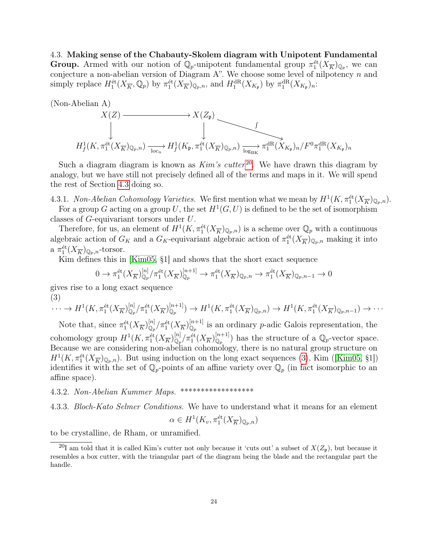<span id="page-23-0"></span>4.3. Making sense of the Chabauty-Skolem diagram with Unipotent Fundamental Group. Armed with our notion of  $\mathbb{Q}_p$ -unipotent fundamental group  $\pi_1^{\text{\'et}}(X_{\overline{K}})_{\mathbb{Q}_p}$ , we can conjecture a non-abelian version of Diagram A". We choose some level of nilpotency  $n$  and simply replace  $H_1^{\text{\'et}}(X_{\overline{K}}, \mathbb{Q}_p)$  by  $\pi_1^{\text{\'et}}(X_{\overline{K}})_{\mathbb{Q}_p,n}$ , and  $H_1^{\text{dR}}(X_{K_{\mathfrak{p}}})$  by  $\pi_1^{\text{dR}}(X_{K_{\mathfrak{p}}})_n$ :



Such a diagram diagram is known as  $Kim's cutter<sup>20</sup>$  $Kim's cutter<sup>20</sup>$  $Kim's cutter<sup>20</sup>$ . We have drawn this diagram by analogy, but we have still not precisely defined all of the terms and maps in it. We will spend the rest of Section [4.3](#page-23-0) doing so.

<span id="page-23-3"></span>4.3.1. Non-Abelian Cohomology Varieties. We first mention what we mean by  $H^1(K, \pi_1^{\text{\'et}}(X_{\overline{K}})_{\mathbb{Q}_p,n}).$ 

For a group G acting on a group U, the set  $H^1(G, U)$  is defined to be the set of isomorphism classes of G-equivariant torsors under U.

Therefore, for us, an element of  $H^1(K, \pi_1^{\text{\'et}}(X_{\overline{K}})_{\mathbb{Q}_p,n})$  is a scheme over  $\mathbb{Q}_p$  with a continuous algebraic action of  $G_K$  and a  $G_K$ -equivariant algebraic action of  $\pi_1^{\text{\'et}}(X_{\overline{K}})_{\mathbb{Q}_p,n}$  making it into a  $\pi_1^{\text{\'et}}(X_{\overline{K}})_{\mathbb{Q}_p,n}$ -torsor.

Kim defines this in [\[Kim05,](#page-41-3) §1] and shows that the short exact sequence

$$
0 \to \pi_1^{\text{\'et}}(X_{\overline{K}})_{\mathbb{Q}_p}^{[n]}/\pi_1^{\text{\'et}}(X_{\overline{K}})_{\mathbb{Q}_p}^{[n+1]} \to \pi_1^{\text{\'et}}(X_{\overline{K}})_{\mathbb{Q}_p,n} \to \pi_1^{\text{\'et}}(X_{\overline{K}})_{\mathbb{Q}_p,n-1} \to 0
$$

gives rise to a long exact sequence (3)

<span id="page-23-2"></span>
$$
\cdots \to H^1(K, \pi_1^{\text{\'et}}(X_{\overline{K}})_{\mathbb{Q}_p}^{[n]}/\pi_1^{\text{\'et}}(X_{\overline{K}})_{\mathbb{Q}_p}^{[n+1]}) \to H^1(K, \pi_1^{\text{\'et}}(X_{\overline{K}})_{\mathbb{Q}_p, n}) \to H^1(K, \pi_1^{\text{\'et}}(X_{\overline{K}})_{\mathbb{Q}_p, n-1}) \to \cdots
$$

Note that, since  $\pi_1^{\text{\'et}}(X_{\overline{K}})_{\mathbb{Q}_p}^{[n]}/\pi_1^{\text{\'et}}(X_{\overline{K}})_{\mathbb{Q}_p}^{[n+1]}$  is an ordinary p-adic Galois representation, the cohomology group  $H^1(K, \pi_1^{\text{\'et}}(X_{\overline{K}})_{\mathbb{Q}_p}^{[n]}/\pi_1^{\text{\'et}}(X_{\overline{K}})_{\mathbb{Q}_p}^{[n+1]})$  has the structure of a  $\mathbb{Q}_p$ -vector space. Because we are considering non-abelian cohomology, there is no natural group structure on  $H^1(K, \pi_1^{\text{\'et}}(X_{\overline{K}})_{\mathbb{Q}_p,n})$ . But using induction on the long exact sequences [\(3\)](#page-23-2), Kim ([\[Kim05,](#page-41-3) §1]) identifies it with the set of  $\mathbb{Q}_p$ -points of an affine variety over  $\mathbb{Q}_p$  (in fact isomorphic to an affine space).

# 4.3.2. Non-Abelian Kummer Maps. \*\*\*\*\*\*\*\*\*\*\*\*\*\*\*\*\*\*

4.3.3. Bloch-Kato Selmer Conditions. We have to understand what it means for an element

$$
\alpha \in H^1(K_v, \pi_1^{\text{\'et}}(X_{\overline{K}})_{\mathbb{Q}_p,n})
$$

to be crystalline, de Rham, or unramified.

<span id="page-23-1"></span><sup>&</sup>lt;sup>20</sup>I am told that it is called Kim's cutter not only because it 'cuts out' a subset of  $X(\mathbb{Z}_{p})$ , but because it resembles a box cutter, with the triangular part of the diagram being the blade and the rectangular part the handle.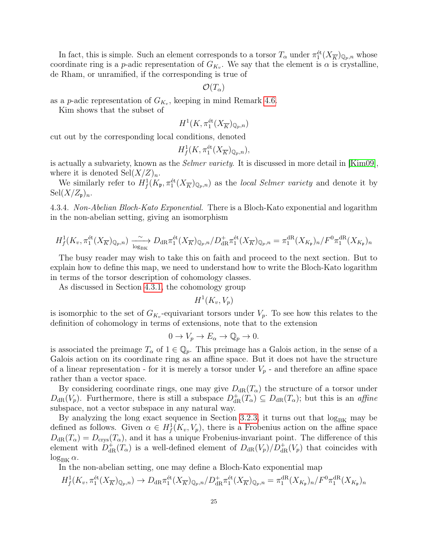In fact, this is simple. Such an element corresponds to a torsor  $T_{\alpha}$  under  $\pi_1^{\text{\'et}}(X_{\overline{K}})_{\mathbb{Q}_p,n}$  whose coordinate ring is a *p*-adic representation of  $G_{K_v}$ . We say that the element is  $\alpha$  is crystalline, de Rham, or unramified, if the corresponding is true of

$$
\mathcal{O}(T_\alpha)
$$

as a *p*-adic representation of  $G_{K_v}$ , keeping in mind Remark [4.6.](#page-21-3)

Kim shows that the subset of

$$
H^1(K, \pi_1^{\text{\'et}}(X_{\overline{K}})_{\mathbb{Q}_p,n})
$$

cut out by the corresponding local conditions, denoted

$$
H^1_f(K, \pi_1^{\text{\'et}}(X_{\overline{K}})_{\mathbb{Q}_p,n}),
$$

is actually a subvariety, known as the *Selmer variety*. It is discussed in more detail in [\[Kim09\]](#page-41-12), where it is denoted  $\mathrm{Sel}(X/Z)_n$ .

We similarly refer to  $H^1_f(K_{\mathfrak{p}}, \pi_1^{\text{\'et}}(X_{\overline{K}})_{\mathbb{Q}_p,n})$  as the *local Selmer variety* and denote it by  $\operatorname{Sel}(X/Z_{\mathfrak{p}})_n$ .

<span id="page-24-0"></span>4.3.4. Non-Abelian Bloch-Kato Exponential. There is a Bloch-Kato exponential and logarithm in the non-abelian setting, giving an isomorphism

$$
H^1_f(K_v, \pi_1^{\text{\'et}}(X_{\overline{K}})_{\mathbb{Q}_p,n}) \xrightarrow[\log_{\text{BK}}]{} D_{\text{dR}} \pi_1^{\text{\'et}}(X_{\overline{K}})_{\mathbb{Q}_p,n}/D_{\text{dR}}^+ \pi_1^{\text{\'et}}(X_{\overline{K}})_{\mathbb{Q}_p,n} = \pi_1^{\text{dR}}(X_{K_{\mathfrak{p}}})_n/F^0 \pi_1^{\text{dR}}(X_{K_{\mathfrak{p}}})_n
$$

The busy reader may wish to take this on faith and proceed to the next section. But to explain how to define this map, we need to understand how to write the Bloch-Kato logarithm in terms of the torsor description of cohomology classes.

As discussed in Section [4.3.1,](#page-23-3) the cohomology group

 $H^1(K_v,V_p)$ 

is isomorphic to the set of  $G_{K_v}$ -equivariant torsors under  $V_p$ . To see how this relates to the definition of cohomology in terms of extensions, note that to the extension

$$
0 \to V_p \to E_\alpha \to \mathbb{Q}_p \to 0.
$$

is associated the preimage  $T_{\alpha}$  of  $1 \in \mathbb{Q}_p$ . This preimage has a Galois action, in the sense of a Galois action on its coordinate ring as an affine space. But it does not have the structure of a linear representation - for it is merely a torsor under  $V_p$  - and therefore an affine space rather than a vector space.

By considering coordinate rings, one may give  $D_{\text{dR}}(T_{\alpha})$  the structure of a torsor under  $D_{\text{dR}}(V_p)$ . Furthermore, there is still a subspace  $D_{\text{dR}}^+(T_\alpha) \subseteq D_{\text{dR}}(T_\alpha)$ ; but this is an *affine* subspace, not a vector subspace in any natural way.

By analyzing the long exact sequence in Section [3.2.3,](#page-13-0) it turns out that  $\log_{BK}$  may be defined as follows. Given  $\alpha \in H_f^1(K_v, V_p)$ , there is a Frobenius action on the affine space  $D_{\text{dR}}(T_{\alpha}) = D_{\text{crys}}(T_{\alpha})$ , and it has a unique Frobenius-invariant point. The difference of this element with  $D_{dR}^+(T_\alpha)$  is a well-defined element of  $D_{dR}(V_p)/D_{dR}^+(V_p)$  that coincides with  $\log_{\text{BK}} \alpha$ .

In the non-abelian setting, one may define a Bloch-Kato exponential map

$$
H^1_f(K_v, \pi_1^{\text{\'et}}(X_{\overline{K}})_{\mathbb{Q}_p,n}) \to D_{\text{dR}}\pi_1^{\text{\'et}}(X_{\overline{K}})_{\mathbb{Q}_p,n}/D_{\text{dR}}^+\pi_1^{\text{\'et}}(X_{\overline{K}})_{\mathbb{Q}_p,n} = \pi_1^{\text{dR}}(X_{K_{\mathfrak{p}}})_n/F^0\pi_1^{\text{dR}}(X_{K_{\mathfrak{p}}})_n
$$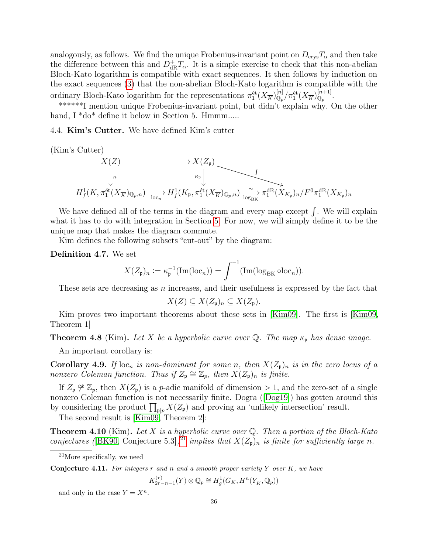analogously, as follows. We find the unique Frobenius-invariant point on  $D_{\text{crys}}T_\alpha$  and then take the difference between this and  $D_{\text{dR}}^{\dagger}T_{\alpha}$ . It is a simple exercise to check that this non-abelian Bloch-Kato logarithm is compatible with exact sequences. It then follows by induction on the exact sequences [\(3\)](#page-23-2) that the non-abelian Bloch-Kato logarithm is compatible with the ordinary Bloch-Kato logarithm for the representations  $\pi_1^{\text{\'et}}(X_{\overline{K}})_{\mathbb{Q}_p}^{[n]}/\pi_1^{\text{\'et}}(X_{\overline{K}})_{\mathbb{Q}_p}^{[n+1]}.$ 

\*\*\*\*\*\*I mention unique Frobenius-invariant point, but didn't explain why. On the other hand, I \*do\* define it below in Section 5. Hmmm.....

<span id="page-25-0"></span>4.4. Kim's Cutter. We have defined Kim's cutter

(Kim's Cutter)

$$
X(Z) \longrightarrow X(Z_{\mathfrak{p}})
$$
\n
$$
\downarrow^{\kappa}
$$
\n
$$
H_f^1(K, \pi_1^{\text{\'et}}(X_{\overline{K}})_{\mathbb{Q}_p, n}) \xrightarrow[\text{loc}_n]{\text{loc}_n} H_f^1(K_{\mathfrak{p}}, \pi_1^{\text{\'et}}(X_{\overline{K}})_{\mathbb{Q}_p, n}) \xrightarrow[\text{log}_{\text{BK}}]{\sim} \pi_1^{\text{dR}}(X_{K_{\mathfrak{p}}})_n / F^0 \pi_1^{\text{dR}}(X_{K_{\mathfrak{p}}})_n
$$

We have defined all of the terms in the diagram and every map except  $\int$ . We will explain what it has to do with integration in Section [5.](#page-26-0) For now, we will simply define it to be the unique map that makes the diagram commute.

Kim defines the following subsets "cut-out" by the diagram:

Definition 4.7. We set

$$
X(Z_{\mathfrak{p}})_n := \kappa_{\mathfrak{p}}^{-1}(\text{Im}(\text{loc}_n)) = \int^{-1}(\text{Im}(\text{log}_{\text{BK}} \circ \text{loc}_n)).
$$

These sets are decreasing as  $n$  increases, and their usefulness is expressed by the fact that

$$
X(Z) \subseteq X(Z_{\mathfrak{p}})_n \subseteq X(Z_{\mathfrak{p}}).
$$

Kim proves two important theorems about these sets in [\[Kim09\]](#page-41-12). The first is [\[Kim09,](#page-41-12) Theorem 1]

**Theorem 4.8** (Kim). Let X be a hyperbolic curve over Q. The map  $\kappa_p$  has dense image.

An important corollary is:

**Corollary 4.9.** If  $\text{loc}_n$  is non-dominant for some n, then  $X(Z_p)_n$  is in the zero locus of a nonzero Coleman function. Thus if  $Z_p \cong \mathbb{Z}_p$ , then  $X(Z_p)_n$  is finite.

If  $Z_p \not\cong \mathbb{Z}_p$ , then  $X(Z_p)$  is a p-adic manifold of dimension > 1, and the zero-set of a single nonzero Coleman function is not necessarily finite. Dogra ([\[Dog19\]](#page-41-13)) has gotten around this by considering the product  $\prod_{\mathfrak{p}|p} X(Z_{\mathfrak{p}})$  and proving an 'unlikely intersection' result.

The second result is [\[Kim09,](#page-41-12) Theorem 2]:

<span id="page-25-2"></span>**Theorem 4.10** (Kim). Let X is a hyperbolic curve over  $\mathbb{Q}$ . Then a portion of the Bloch-Kato conjectures ([\[BK90,](#page-41-7) Conjecture 5.3])<sup>[21](#page-25-1)</sup> implies that  $X(Z_p)_n$  is finite for sufficiently large n.

**Conjecture 4.11.** For integers r and n and a smooth proper variety Y over  $K$ , we have

$$
K_{2r-n-1}^{(r)}(Y)\otimes \mathbb{Q}_p\cong H_g^1(G_K, H^n(Y_{\overline{K}}, \mathbb{Q}_p))
$$

and only in the case  $Y = X^n$ .

<span id="page-25-1"></span> $^{21}$ More specifically, we need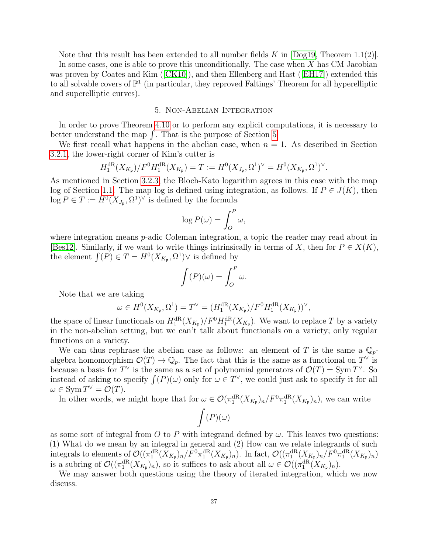Note that this result has been extended to all number fields K in  $[Doq19, Theorem 1.1(2)].$ In some cases, one is able to prove this unconditionally. The case when X has CM Jacobian was proven by Coates and Kim ([\[CK10\]](#page-41-14)), and then Ellenberg and Hast ([\[EH17\]](#page-41-15)) extended this to all solvable covers of  $\mathbb{P}^1$  (in particular, they reproved Faltings' Theorem for all hyperelliptic and superelliptic curves).

#### 5. Non-Abelian Integration

<span id="page-26-0"></span>In order to prove Theorem [4.10](#page-25-2) or to perform any explicit computations, it is necessary to better understand the map  $\int$ . That is the purpose of Section [5.](#page-26-0)

We first recall what happens in the abelian case, when  $n = 1$ . As described in Section [3.2.1,](#page-12-1) the lower-right corner of Kim's cutter is

$$
H_1^{\mathrm{dR}}(X_{K_{\mathfrak{p}}})/F^0 H_1^{\mathrm{dR}}(X_{K_{\mathfrak{p}}}) = T := H^0(X_{J_{\mathfrak{p}}}, \Omega^1)^{\vee} = H^0(X_{K_{\mathfrak{p}}}, \Omega^1)^{\vee}.
$$

As mentioned in Section [3.2.3,](#page-13-0) the Bloch-Kato logarithm agrees in this case with the map log of Section [1.1.](#page-1-3) The map log is defined using integration, as follows. If  $P \in J(K)$ , then  $\log P \in T := H^0(X_{J_p}, \Omega^1)^{\vee}$  is defined by the formula

$$
\log P(\omega) = \int_O^P \omega,
$$

where integration means *p*-adic Coleman integration, a topic the reader may read about in [\[Bes12\]](#page-41-16). Similarly, if we want to write things intrinsically in terms of X, then for  $P \in X(K)$ , the element  $\int(P) \in T = H^0(X_{K_{\mathfrak{p}}}, \Omega^1) \vee$  is defined by

$$
\int (P)(\omega) = \int_O^P \omega.
$$

Note that we are taking

$$
\omega \in H^0(X_{K_{\mathfrak{p}}}, \Omega^1) = T^{\vee} = (H_1^{\mathrm{dR}}(X_{K_{\mathfrak{p}}})/F^0 H_1^{\mathrm{dR}}(X_{K_{\mathfrak{p}}}))^{\vee},
$$

the space of linear functionals on  $H_1^{\text{dR}}(X_{K_{\mathfrak{p}}})/F^0H_1^{\text{dR}}(X_{K_{\mathfrak{p}}})$ . We want to replace T by a variety in the non-abelian setting, but we can't talk about functionals on a variety; only regular functions on a variety.

We can thus rephrase the abelian case as follows: an element of T is the same a  $\mathbb{Q}_p$ algebra homomorphism  $\mathcal{O}(T) \to \mathbb{Q}_p$ . The fact that this is the same as a functional on  $T^{\vee}$  is because a basis for  $T^{\vee}$  is the same as a set of polynomial generators of  $\mathcal{O}(T) = \text{Sym } T^{\vee}$ . So instead of asking to specify  $\int (P)(\omega)$  only for  $\omega \in T^{\vee}$ , we could just ask to specify it for all  $\omega \in \text{Sym } T^{\vee} = \mathcal{O}(T).$ 

In other words, we might hope that for  $\omega \in \mathcal{O}(\pi_1^{\text{dR}}(X_{K_{\mathfrak{p}}})_n/F^0\pi_1^{\text{dR}}(X_{K_{\mathfrak{p}}})_n)$ , we can write

$$
\int(P)(\omega)
$$

as some sort of integral from O to P with integrand defined by  $\omega$ . This leaves two questions: (1) What do we mean by an integral in general and (2) How can we relate integrands of such integrals to elements of  $\mathcal{O}((\pi_1^{\text{dR}}(X_{K_{\mathfrak{p}}})_n/F^0\pi_1^{\text{dR}}(X_{K_{\mathfrak{p}}})_n)$ . In fact,  $\mathcal{O}((\pi_1^{\text{dR}}(X_{K_{\mathfrak{p}}})_n/F^0\pi_1^{\text{dR}}(X_{K_{\mathfrak{p}}})_n)$ is a subring of  $\mathcal{O}((\pi_1^{\text{dR}}(X_{K_{\mathfrak{p}}})_n))$ , so it suffices to ask about all  $\omega \in \mathcal{O}((\pi_1^{\text{dR}}(X_{K_{\mathfrak{p}}})_n)$ .

We may answer both questions using the theory of iterated integration, which we now discuss.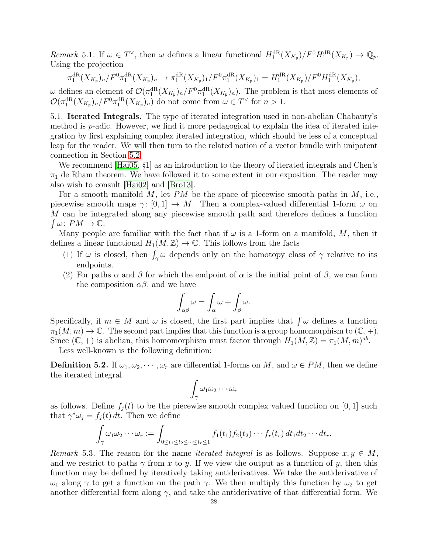Remark 5.1. If  $\omega \in T^{\vee}$ , then  $\omega$  defines a linear functional  $H_1^{\text{dR}}(X_{K_{\mathfrak{p}}})/F^0H_1^{\text{dR}}(X_{K_{\mathfrak{p}}}) \to \mathbb{Q}_p$ . Using the projection

$$
\pi_1^{\mathrm{dR}}(X_{K_{\mathfrak{p}}})_n/F^0\pi_1^{\mathrm{dR}}(X_{K_{\mathfrak{p}}})_n \to \pi_1^{\mathrm{dR}}(X_{K_{\mathfrak{p}}})_1/F^0\pi_1^{\mathrm{dR}}(X_{K_{\mathfrak{p}}})_1 = H_1^{\mathrm{dR}}(X_{K_{\mathfrak{p}}})/F^0H_1^{\mathrm{dR}}(X_{K_{\mathfrak{p}}}),
$$

ω defines an element of  $\mathcal{O}(\pi_1^{\text{dR}}(X_{K_{\mathfrak{p}}})_n/F^0\pi_1^{\text{dR}}(X_{K_{\mathfrak{p}}})_n)$ . The problem is that most elements of  $\mathcal{O}(\pi_1^{\text{dR}}(X_{K_{\mathfrak{p}}})_n/F^0\pi_1^{\text{dR}}(X_{K_{\mathfrak{p}}})_n)$  do not come from  $\omega \in T^{\vee}$  for  $n > 1$ .

<span id="page-27-0"></span>5.1. Iterated Integrals. The type of iterated integration used in non-abelian Chabauty's method is p-adic. However, we find it more pedagogical to explain the idea of iterated integration by first explaining complex iterated integration, which should be less of a conceptual leap for the reader. We will then turn to the related notion of a vector bundle with unipotent connection in Section [5.2.](#page-31-0)

We recommend [\[Hai05,](#page-41-10) §1] as an introduction to the theory of iterated integrals and Chen's  $\pi_1$  de Rham theorem. We have followed it to some extent in our exposition. The reader may also wish to consult [\[Hai02\]](#page-41-17) and [\[Bro13\]](#page-41-18).

For a smooth manifold  $M$ , let  $PM$  be the space of piecewise smooth paths in  $M$ , i.e., piecewise smooth maps  $\gamma: [0, 1] \to M$ . Then a complex-valued differential 1-form  $\omega$  on M can be integrated along any piecewise smooth path and therefore defines a function  $\int \omega \colon PM \to \mathbb{C}.$ 

Many people are familiar with the fact that if  $\omega$  is a 1-form on a manifold, M, then it defines a linear functional  $H_1(M, \mathbb{Z}) \to \mathbb{C}$ . This follows from the facts

- (1) If  $\omega$  is closed, then  $\int_{\gamma} \omega$  depends only on the homotopy class of  $\gamma$  relative to its endpoints.
- <span id="page-27-1"></span>(2) For paths  $\alpha$  and  $\beta$  for which the endpoint of  $\alpha$  is the initial point of  $\beta$ , we can form the composition  $\alpha\beta$ , and we have

$$
\int_{\alpha\beta}\omega=\int_{\alpha}\omega+\int_{\beta}\omega.
$$

Specifically, if  $m \in M$  and  $\omega$  is closed, the first part implies that  $\int \omega$  defines a function  $\pi_1(M,m) \to \mathbb{C}$ . The second part implies that this function is a group homomorphism to  $(\mathbb{C}, +)$ . Since  $(\mathbb{C}, +)$  is abelian, this homomorphism must factor through  $H_1(M, \mathbb{Z}) = \pi_1(M, m)^{ab}$ .

Less well-known is the following definition:

**Definition 5.2.** If  $\omega_1, \omega_2, \cdots, \omega_r$  are differential 1-forms on M, and  $\omega \in PM$ , then we define the iterated integral

$$
\int_{\gamma} \omega_1 \omega_2 \cdots \omega_r
$$

as follows. Define  $f_j(t)$  to be the piecewise smooth complex valued function on [0, 1] such that  $\gamma^* \omega_j = f_j(t) dt$ . Then we define

$$
\int_{\gamma} \omega_1 \omega_2 \cdots \omega_r := \int_{0 \le t_1 \le t_2 \le \cdots \le t_r \le 1} f_1(t_1) f_2(t_2) \cdots f_r(t_r) dt_1 dt_2 \cdots dt_r.
$$

<span id="page-27-2"></span>Remark 5.3. The reason for the name *iterated integral* is as follows. Suppose  $x, y \in M$ , and we restrict to paths  $\gamma$  from x to y. If we view the output as a function of y, then this function may be defined by iteratively taking antiderivatives. We take the antiderivative of  $ω_1$  along  $γ$  to get a function on the path  $γ$ . We then multiply this function by  $ω_2$  to get another differential form along  $\gamma$ , and take the antiderivative of that differential form. We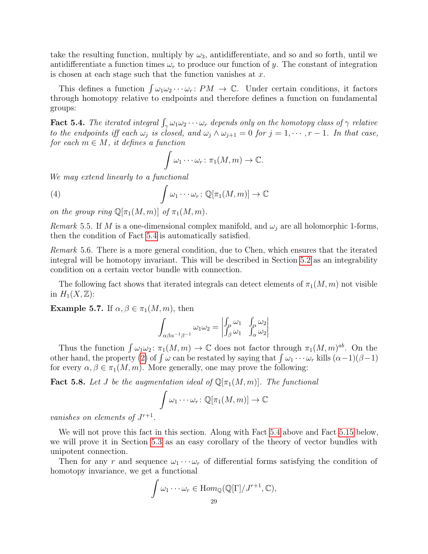take the resulting function, multiply by  $\omega_3$ , antidifferentiate, and so and so forth, until we antidifferentiate a function times  $\omega_r$  to produce our function of y. The constant of integration is chosen at each stage such that the function vanishes at  $x$ .

This defines a function  $\int \omega_1 \omega_2 \cdots \omega_r$ :  $PM \to \mathbb{C}$ . Under certain conditions, it factors through homotopy relative to endpoints and therefore defines a function on fundamental groups:

<span id="page-28-0"></span>**Fact 5.4.** The iterated integral  $\int_{\gamma} \omega_1 \omega_2 \cdots \omega_r$  depends only on the homotopy class of  $\gamma$  relative to the endpoints iff each  $\omega_j$  is closed, and  $\omega_j \wedge \omega_{j+1} = 0$  for  $j = 1, \dots, r-1$ . In that case, for each  $m \in M$ , it defines a function

$$
\int \omega_1 \cdots \omega_r \colon \pi_1(M,m) \to \mathbb{C}.
$$

We may extend linearly to a functional

(4) 
$$
\int \omega_1 \cdots \omega_r \colon \mathbb{Q}[\pi_1(M,m)] \to \mathbb{C}
$$

on the group ring  $\mathbb{Q}[\pi_1(M,m)]$  of  $\pi_1(M,m)$ .

Remark 5.5. If M is a one-dimensional complex manifold, and  $\omega_i$  are all holomorphic 1-forms, then the condition of Fact [5.4](#page-28-0) is automatically satisfied.

Remark 5.6. There is a more general condition, due to Chen, which ensures that the iterated integral will be homotopy invariant. This will be described in Section [5.2](#page-31-0) as an integrability condition on a certain vector bundle with connection.

The following fact shows that iterated integrals can detect elements of  $\pi_1(M, m)$  not visible in  $H_1(X,\mathbb{Z})$ :

Example 5.7. If  $\alpha, \beta \in \pi_1(M,m)$ , then

$$
\int_{\alpha\beta\alpha^{-1}\beta^{-1}} \omega_1 \omega_2 = \begin{vmatrix} \int_{\alpha} \omega_1 & \int_{\alpha} \omega_2 \\ \int_{\beta} \omega_1 & \int_{\alpha} \omega_2 \end{vmatrix}
$$

Thus the function  $\int \omega_1 \omega_2$ :  $\pi_1(M,m) \to \mathbb{C}$  does not factor through  $\pi_1(M,m)^{ab}$ . On the other hand, the property [\(2\)](#page-27-1) of  $\int \omega$  can be restated by saying that  $\int \omega_1 \cdots \omega_r$  kills  $(\alpha-1)(\beta-1)$ for every  $\alpha, \beta \in \pi_1(M, m)$ . More generally, one may prove the following:

**Fact 5.8.** Let J be the augmentation ideal of  $\mathbb{Q}[\pi_1(M,m)]$ . The functional

$$
\int \omega_1 \cdots \omega_r \colon \mathbb{Q}[\pi_1(M,m)] \to \mathbb{C}
$$

vanishes on elements of  $J^{r+1}$ .

We will not prove this fact in this section. Along with Fact [5.4](#page-28-0) above and Fact [5.15](#page-30-0) below, we will prove it in Section [5.3](#page-36-0) as an easy corollary of the theory of vector bundles with unipotent connection.

Then for any r and sequence  $\omega_1 \cdots \omega_r$  of differential forms satisfying the condition of homotopy invariance, we get a functional

$$
\int \omega_1 \cdots \omega_r \in \text{Hom}_{\mathbb{Q}}(\mathbb{Q}[\Gamma]/J^{r+1}, \mathbb{C}),
$$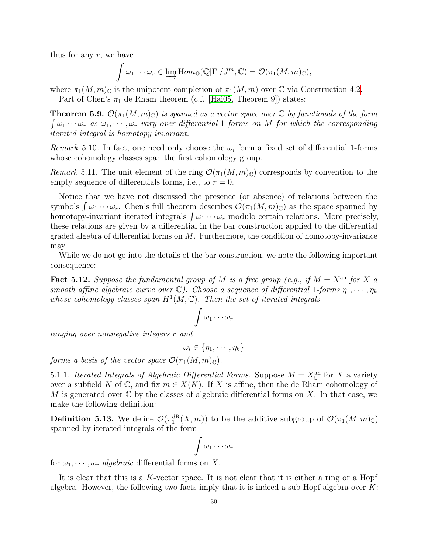thus for any  $r$ , we have

$$
\int \omega_1 \cdots \omega_r \in \varinjlim \mathrm{Hom}_{\mathbb{Q}}(\mathbb{Q}[\Gamma]/J^m, \mathbb{C}) = \mathcal{O}(\pi_1(M,m)_{\mathbb{C}}),
$$

where  $\pi_1(M,m)_{\mathbb{C}}$  is the unipotent completion of  $\pi_1(M,m)$  over  $\mathbb C$  via Construction [4.2.](#page-18-2) Part of Chen's  $\pi_1$  de Rham theorem (c.f. [\[Hai05,](#page-41-10) Theorem 9]) states:

**Theorem 5.9.**  $\mathcal{O}(\pi_1(M,m)_{\mathbb{C}})$  is spanned as a vector space over  $\mathbb{C}$  by functionals of the form  $\int \omega_1 \cdots \omega_r$  as  $\omega_1, \cdots, \omega_r$  vary over differential 1-forms on M for which the corresponding iterated integral is homotopy-invariant.

Remark 5.10. In fact, one need only choose the  $\omega_i$  form a fixed set of differential 1-forms whose cohomology classes span the first cohomology group.

Remark 5.11. The unit element of the ring  $\mathcal{O}(\pi_1(M,m)_{\mathbb{C}})$  corresponds by convention to the empty sequence of differentials forms, i.e., to  $r = 0$ .

Notice that we have not discussed the presence (or absence) of relations between the symbols  $\int \omega_1 \cdots \omega_r$ . Chen's full theorem describes  $\mathcal{O}(\pi_1(M,m)_{\mathbb{C}})$  as the space spanned by homotopy-invariant iterated integrals  $\int \omega_1 \cdots \omega_r$  modulo certain relations. More precisely, these relations are given by a differential in the bar construction applied to the differential graded algebra of differential forms on  $M$ . Furthermore, the condition of homotopy-invariance may

While we do not go into the details of the bar construction, we note the following important consequence:

<span id="page-29-0"></span>**Fact 5.12.** Suppose the fundamental group of M is a free group (e.g., if  $M = X<sup>an</sup>$  for X a smooth affine algebraic curve over  $\mathbb{C}$ ). Choose a sequence of differential 1-forms  $\eta_1, \cdots, \eta_k$ whose cohomology classes span  $H^1(M,\mathbb{C})$ . Then the set of iterated integrals

$$
\int \omega_1 \cdots \omega_r
$$

ranging over nonnegative integers r and

$$
\omega_i \in \{\eta_1, \cdots, \eta_k\}
$$

forms a basis of the vector space  $\mathcal{O}(\pi_1(M,m)_{\mathbb{C}})$ .

5.1.1. Iterated Integrals of Algebraic Differential Forms. Suppose  $M = X_{\mathbb{C}}^{an}$  for X a variety over a subfield K of  $\mathbb C$ , and fix  $m \in X(K)$ . If X is affine, then the de Rham cohomology of M is generated over  $\mathbb C$  by the classes of algebraic differential forms on X. In that case, we make the following definition:

**Definition 5.13.** We define  $\mathcal{O}(\pi_1^{\text{dR}}(X,m))$  to be the additive subgroup of  $\mathcal{O}(\pi_1(M,m)_{\mathbb{C}})$ spanned by iterated integrals of the form

$$
\int \omega_1 \cdots \omega_r
$$

for  $\omega_1, \dots, \omega_r$  algebraic differential forms on X.

It is clear that this is a K-vector space. It is not clear that it is either a ring or a Hopf algebra. However, the following two facts imply that it is indeed a sub-Hopf algebra over  $K$ :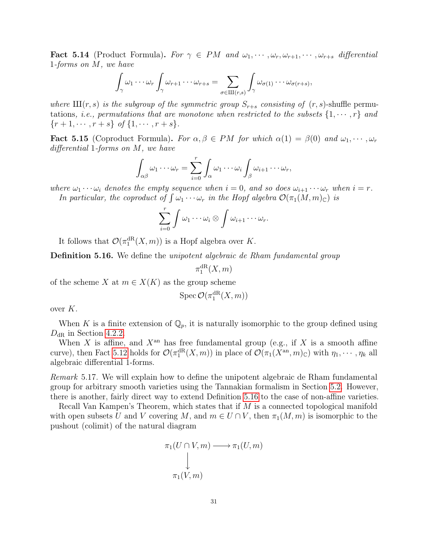**Fact 5.14** (Product Formula). For  $\gamma \in PM$  and  $\omega_1, \dots, \omega_r, \omega_{r+1}, \dots, \omega_{r+s}$  differential 1-forms on M, we have

$$
\int_{\gamma} \omega_1 \cdots \omega_r \int_{\gamma} \omega_{r+1} \cdots \omega_{r+s} = \sum_{\sigma \in III(r,s)} \int_{\gamma} \omega_{\sigma(1)} \cdots \omega_{\sigma(r+s)},
$$

where  $III(r, s)$  is the subgroup of the symmetric group  $S_{r+s}$  consisting of  $(r, s)$ -shuffle permutations, *i.e.*, permutations that are monotone when restricted to the subsets  $\{1, \dots, r\}$  and  $\{r+1, \cdots, r+s\}$  of  $\{1, \cdots, r+s\}$ .

<span id="page-30-0"></span>**Fact 5.15** (Coproduct Formula). For  $\alpha, \beta \in PM$  for which  $\alpha(1) = \beta(0)$  and  $\omega_1, \dots, \omega_r$ differential 1-forms on M, we have

$$
\int_{\alpha\beta}\omega_1\cdots\omega_r=\sum_{i=0}^r\int_{\alpha}\omega_1\cdots\omega_i\int_{\beta}\omega_{i+1}\cdots\omega_r,
$$

where  $\omega_1 \cdots \omega_i$  denotes the empty sequence when  $i = 0$ , and so does  $\omega_{i+1} \cdots \omega_r$  when  $i = r$ . In particular, the coproduct of  $\int \omega_1 \cdots \omega_r$  in the Hopf algebra  $\mathcal{O}(\pi_1(M,m)_{\mathbb{C}})$  is

$$
\sum_{i=0}^r \int \omega_1 \cdots \omega_i \otimes \int \omega_{i+1} \cdots \omega_r.
$$

It follows that  $\mathcal{O}(\pi_1^{\text{dR}}(X,m))$  is a Hopf algebra over K.

<span id="page-30-1"></span>Definition 5.16. We define the *unipotent algebraic de Rham fundamental group* 

$$
\pi_1^{{\mathrm{dR}}}(X,m)
$$

of the scheme X at  $m \in X(K)$  as the group scheme

$$
\operatorname{Spec} \mathcal{O}(\pi_1^{\mathrm{dR}}(X,m))
$$

over K.

When K is a finite extension of  $\mathbb{Q}_p$ , it is naturally isomorphic to the group defined using  $D_{\rm dR}$  in Section [4.2.2.](#page-21-0)

When X is affine, and  $X^{\text{an}}$  has free fundamental group (e.g., if X is a smooth affine curve), then Fact [5.12](#page-29-0) holds for  $\mathcal{O}(\pi_1^{\text{dR}}(X,m))$  in place of  $\mathcal{O}(\pi_1(X^{\text{an}},m)_{\mathbb{C}})$  with  $\eta_1,\cdots,\eta_k$  all algebraic differential 1-forms.

Remark 5.17. We will explain how to define the unipotent algebraic de Rham fundamental group for arbitrary smooth varieties using the Tannakian formalism in Section [5.2.](#page-31-0) However, there is another, fairly direct way to extend Definition [5.16](#page-30-1) to the case of non-affine varieties.

Recall Van Kampen's Theorem, which states that if M is a connected topological manifold with open subsets U and V covering M, and  $m \in U \cap V$ , then  $\pi_1(M,m)$  is isomorphic to the pushout (colimit) of the natural diagram

$$
\pi_1(U \cap V, m) \longrightarrow \pi_1(U, m)
$$
  
\n
$$
\downarrow
$$
  
\n
$$
\pi_1(V, m)
$$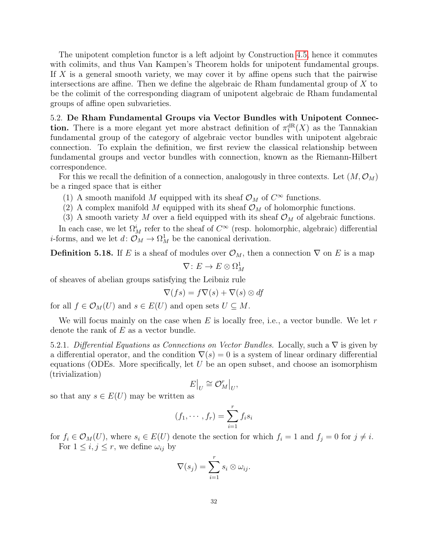The unipotent completion functor is a left adjoint by Construction [4.5,](#page-19-3) hence it commutes with colimits, and thus Van Kampen's Theorem holds for unipotent fundamental groups. If  $X$  is a general smooth variety, we may cover it by affine opens such that the pairwise intersections are affine. Then we define the algebraic de Rham fundamental group of X to be the colimit of the corresponding diagram of unipotent algebraic de Rham fundamental groups of affine open subvarieties.

<span id="page-31-0"></span>5.2. De Rham Fundamental Groups via Vector Bundles with Unipotent Connection. There is a more elegant yet more abstract definition of  $\pi_1^{\text{dR}}(X)$  as the Tannakian fundamental group of the category of algebraic vector bundles with unipotent algebraic connection. To explain the definition, we first review the classical relationship between fundamental groups and vector bundles with connection, known as the Riemann-Hilbert correspondence.

For this we recall the definition of a connection, analogously in three contexts. Let  $(M, \mathcal{O}_M)$ be a ringed space that is either

- (1) A smooth manifold M equipped with its sheaf  $\mathcal{O}_M$  of  $C^{\infty}$  functions.
- (2) A complex manifold M equipped with its sheaf  $\mathcal{O}_M$  of holomorphic functions.
- (3) A smooth variety M over a field equipped with its sheaf  $\mathcal{O}_M$  of algebraic functions.

In each case, we let  $\Omega^i_M$  refer to the sheaf of  $C^{\infty}$  (resp. holomorphic, algebraic) differential *i*-forms, and we let  $d: \mathcal{O}_M \to \Omega^1_M$  be the canonical derivation.

**Definition 5.18.** If E is a sheaf of modules over  $\mathcal{O}_M$ , then a connection  $\nabla$  on E is a map  $\nabla\colon E\to E\otimes\Omega^1_M$ 

of sheaves of abelian groups satisfying the Leibniz rule

$$
\nabla(f s) = f \nabla(s) + \nabla(s) \otimes df
$$

for all  $f \in \mathcal{O}_M(U)$  and  $s \in E(U)$  and open sets  $U \subseteq M$ .

We will focus mainly on the case when  $E$  is locally free, i.e., a vector bundle. We let  $r$ denote the rank of  $E$  as a vector bundle.

<span id="page-31-1"></span>5.2.1. Differential Equations as Connections on Vector Bundles. Locally, such a  $\nabla$  is given by a differential operator, and the condition  $\nabla(s) = 0$  is a system of linear ordinary differential equations (ODEs. More specifically, let  $U$  be an open subset, and choose an isomorphism (trivialization)

$$
E\big|_U \cong \mathcal{O}_M^r\big|_U,
$$

so that any  $s \in E(U)$  may be written as

$$
(f_1, \cdots, f_r) = \sum_{i=1}^r f_i s_i
$$

for  $f_i \in \mathcal{O}_M(U)$ , where  $s_i \in E(U)$  denote the section for which  $f_i = 1$  and  $f_j = 0$  for  $j \neq i$ . For  $1 \leq i, j \leq r$ , we define  $\omega_{ij}$  by

$$
\nabla(s_j) = \sum_{i=1}^r s_i \otimes \omega_{ij}.
$$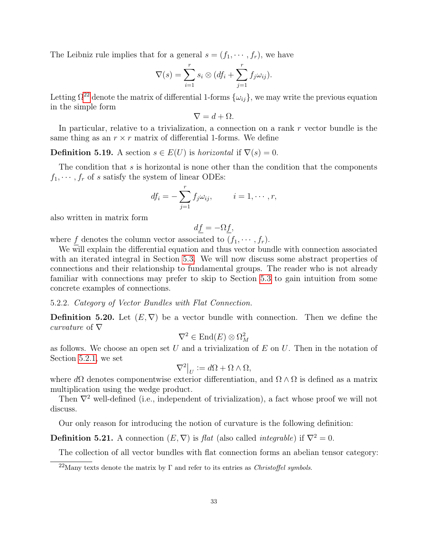The Leibniz rule implies that for a general  $s = (f_1, \dots, f_r)$ , we have

$$
\nabla(s) = \sum_{i=1}^r s_i \otimes (df_i + \sum_{j=1}^r f_j \omega_{ij}).
$$

Letting  $\Omega^{22}$  $\Omega^{22}$  $\Omega^{22}$  denote the matrix of differential 1-forms  $\{\omega_{ij}\}\,$ , we may write the previous equation in the simple form

$$
\nabla = d + \Omega.
$$

In particular, relative to a trivialization, a connection on a rank  $r$  vector bundle is the same thing as an  $r \times r$  matrix of differential 1-forms. We define

**Definition 5.19.** A section  $s \in E(U)$  is *horizontal* if  $\nabla(s) = 0$ .

The condition that s is horizontal is none other than the condition that the components  $f_1, \dots, f_r$  of s satisfy the system of linear ODEs:

$$
df_i = -\sum_{j=1}^r f_j \omega_{ij}, \qquad i = 1, \cdots, r,
$$

also written in matrix form

$$
df = -\Omega f,
$$

where f denotes the column vector associated to  $(f_1, \dots, f_r)$ .

We will explain the differential equation and thus vector bundle with connection associated with an iterated integral in Section [5.3.](#page-36-0) We will now discuss some abstract properties of connections and their relationship to fundamental groups. The reader who is not already familiar with connections may prefer to skip to Section [5.3](#page-36-0) to gain intuition from some concrete examples of connections.

5.2.2. Category of Vector Bundles with Flat Connection.

**Definition 5.20.** Let  $(E, \nabla)$  be a vector bundle with connection. Then we define the curvature of  $\nabla$ 

$$
\nabla^2 \in \text{End}(E) \otimes \Omega^2_M
$$

as follows. We choose an open set U and a trivialization of E on U. Then in the notation of Section [5.2.1,](#page-31-1) we set

$$
\nabla^2\big|_U := d\Omega + \Omega \wedge \Omega,
$$

where  $d\Omega$  denotes componentwise exterior differentiation, and  $\Omega \wedge \Omega$  is defined as a matrix multiplication using the wedge product.

Then  $\nabla^2$  well-defined (i.e., independent of trivialization), a fact whose proof we will not discuss.

Our only reason for introducing the notion of curvature is the following definition:

**Definition 5.21.** A connection  $(E, \nabla)$  is *flat* (also called *integrable*) if  $\nabla^2 = 0$ .

The collection of all vector bundles with flat connection forms an abelian tensor category:

<span id="page-32-0"></span><sup>&</sup>lt;sup>22</sup>Many texts denote the matrix by  $\Gamma$  and refer to its entries as *Christoffel symbols*.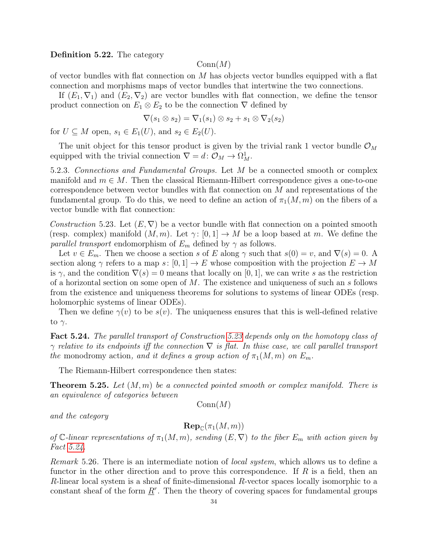Definition 5.22. The category

#### $Conn(M)$

of vector bundles with flat connection on  $M$  has objects vector bundles equipped with a flat connection and morphisms maps of vector bundles that intertwine the two connections.

If  $(E_1, \nabla_1)$  and  $(E_2, \nabla_2)$  are vector bundles with flat connection, we define the tensor product connection on  $E_1 \otimes E_2$  to be the connection  $\nabla$  defined by

$$
\nabla(s_1 \otimes s_2) = \nabla_1(s_1) \otimes s_2 + s_1 \otimes \nabla_2(s_2)
$$

for  $U \subseteq M$  open,  $s_1 \in E_1(U)$ , and  $s_2 \in E_2(U)$ .

The unit object for this tensor product is given by the trivial rank 1 vector bundle  $\mathcal{O}_M$ equipped with the trivial connection  $\nabla = d : \mathcal{O}_M \to \Omega^1_M$ .

5.2.3. Connections and Fundamental Groups. Let M be a connected smooth or complex manifold and  $m \in M$ . Then the classical Riemann-Hilbert correspondence gives a one-to-one correspondence between vector bundles with flat connection on  $M$  and representations of the fundamental group. To do this, we need to define an action of  $\pi_1(M,m)$  on the fibers of a vector bundle with flat connection:

<span id="page-33-0"></span>Construction 5.23. Let  $(E, \nabla)$  be a vector bundle with flat connection on a pointed smooth (resp. complex) manifold  $(M, m)$ . Let  $\gamma: [0, 1] \to M$  be a loop based at m. We define the *parallel transport* endomorphism of  $E_m$  defined by  $\gamma$  as follows.

Let  $v \in E_m$ . Then we choose a section s of E along  $\gamma$  such that  $s(0) = v$ , and  $\nabla(s) = 0$ . A section along  $\gamma$  refers to a map s:  $[0, 1] \to E$  whose composition with the projection  $E \to M$ is  $\gamma$ , and the condition  $\nabla(s) = 0$  means that locally on [0, 1], we can write s as the restriction of a horizontal section on some open of  $M$ . The existence and uniqueness of such an s follows from the existence and uniqueness theorems for solutions to systems of linear ODEs (resp. holomorphic systems of linear ODEs).

Then we define  $\gamma(v)$  to be  $s(v)$ . The uniqueness ensures that this is well-defined relative to  $\gamma$ .

<span id="page-33-1"></span>Fact 5.24. The parallel transport of Construction [5.23](#page-33-0) depends only on the homotopy class of  $\gamma$  relative to its endpoints iff the connection  $\nabla$  is flat. In thise case, we call parallel transport the monodromy action, and it defines a group action of  $\pi_1(M,m)$  on  $E_m$ .

The Riemann-Hilbert correspondence then states:

**Theorem 5.25.** Let  $(M, m)$  be a connected pointed smooth or complex manifold. There is an equivalence of categories between

 $Conn(M)$ 

and the category

 $\mathbf{Rep}_{\mathbb{C}}(\pi_1(M,m))$ 

of C-linear representations of  $\pi_1(M,m)$ , sending  $(E,\nabla)$  to the fiber  $E_m$  with action given by Fact [5.24.](#page-33-1)

Remark 5.26. There is an intermediate notion of local system, which allows us to define a functor in the other direction and to prove this correspondence. If  $R$  is a field, then an  $R$ -linear local system is a sheaf of finite-dimensional  $R$ -vector spaces locally isomorphic to a constant sheaf of the form  $\underline{R}^r$ . Then the theory of covering spaces for fundamental groups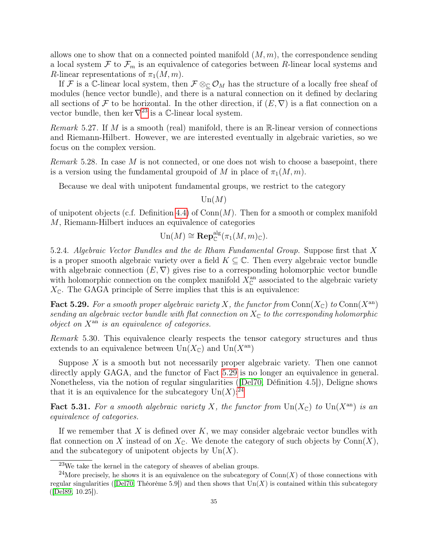allows one to show that on a connected pointed manifold  $(M, m)$ , the correspondence sending a local system  $\mathcal F$  to  $\mathcal F_m$  is an equivalence of categories between R-linear local systems and R-linear representations of  $\pi_1(M,m)$ .

If F is a C-linear local system, then  $\mathcal{F} \otimes_{\mathbb{C}} \mathcal{O}_M$  has the structure of a locally free sheaf of modules (hence vector bundle), and there is a natural connection on it defined by declaring all sections of F to be horizontal. In the other direction, if  $(E, \nabla)$  is a flat connection on a vector bundle, then ker  $\nabla^{23}$  $\nabla^{23}$  $\nabla^{23}$  is a C-linear local system.

Remark 5.27. If M is a smooth (real) manifold, there is an  $\mathbb{R}$ -linear version of connections and Riemann-Hilbert. However, we are interested eventually in algebraic varieties, so we focus on the complex version.

Remark 5.28. In case M is not connected, or one does not wish to choose a basepoint, there is a version using the fundamental groupoid of M in place of  $\pi_1(M, m)$ .

Because we deal with unipotent fundamental groups, we restrict to the category

 $\mathrm{Un}(M)$ 

of unipotent objects (c.f. Definition [4.4\)](#page-19-4) of  $Conn(M)$ . Then for a smooth or complex manifold M, Riemann-Hilbert induces an equivalence of categories

$$
\mathrm{Un}(M) \cong \mathbf{Rep}_{\mathbb{C}}^{\mathrm{alg}}(\pi_1(M,m)_{\mathbb{C}}).
$$

5.2.4. Algebraic Vector Bundles and the de Rham Fundamental Group. Suppose first that X is a proper smooth algebraic variety over a field  $K \subseteq \mathbb{C}$ . Then every algebraic vector bundle with algebraic connection  $(E, \nabla)$  gives rise to a corresponding holomorphic vector bundle with holomorphic connection on the complex manifold  $X_{\mathbb{C}}^{an}$  associated to the algebraic variety  $X_{\mathbb{C}}$ . The GAGA principle of Serre implies that this is an equivalence:

<span id="page-34-1"></span>**Fact 5.29.** For a smooth proper algebraic variety X, the functor from  $\text{Conn}(X_{\mathbb{C}})$  to  $\text{Conn}(X^{\text{an}})$ sending an algebraic vector bundle with flat connection on  $X_{\mathbb{C}}$  to the corresponding holomorphic object on  $X^{\text{an}}$  is an equivalence of categories.

Remark 5.30. This equivalence clearly respects the tensor category structures and thus extends to an equivalence between  $\text{Un}(X_{\mathbb{C}})$  and  $\text{Un}(X^{\text{an}})$ 

Suppose  $X$  is a smooth but not necessarily proper algebraic variety. Then one cannot directly apply GAGA, and the functor of Fact [5.29](#page-34-1) is no longer an equivalence in general. Nonetheless, via the notion of regular singularities ([\[Del70,](#page-41-19) Définition 4.5]), Deligne shows that it is an equivalence for the subcategory  $\text{Un}(X)$ :<sup>[24](#page-34-2)</sup>

**Fact 5.31.** For a smooth algebraic variety X, the functor from  $\text{Un}(X_{\mathbb{C}})$  to  $\text{Un}(X^{\text{an}})$  is an equivalence of categories.

If we remember that  $X$  is defined over  $K$ , we may consider algebraic vector bundles with flat connection on X instead of on  $X_{\mathbb{C}}$ . We denote the category of such objects by  $\text{Conn}(X)$ , and the subcategory of unipotent objects by  $\text{Un}(X)$ .

<span id="page-34-2"></span><span id="page-34-0"></span><sup>23</sup>We take the kernel in the category of sheaves of abelian groups.

<sup>&</sup>lt;sup>24</sup>More precisely, he shows it is an equivalence on the subcategory of  $Conn(X)$  of those connections with regular singularities ([\[Del70,](#page-41-19) Théorème 5.9]) and then shows that  $Un(X)$  is contained within this subcategory ([\[Del89,](#page-41-20) 10.25]).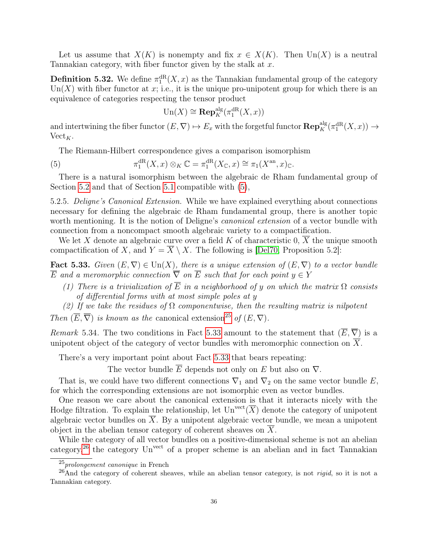Let us assume that  $X(K)$  is nonempty and fix  $x \in X(K)$ . Then  $\text{Un}(X)$  is a neutral Tannakian category, with fiber functor given by the stalk at  $x$ .

<span id="page-35-5"></span>**Definition 5.32.** We define  $\pi_1^{\text{dR}}(X, x)$  as the Tannakian fundamental group of the category  $Un(X)$  with fiber functor at x; i.e., it is the unique pro-unipotent group for which there is an equivalence of categories respecting the tensor product

<span id="page-35-0"></span>
$$
\mathrm{Un}(X) \cong \mathrm{\mathbf{Rep}}^\mathrm{alg}_K(\pi_1^\mathrm{dR}(X,x))
$$

and intertwining the fiber functor  $(E, \nabla) \mapsto E_x$  with the forgetful functor  $\mathbf{Rep}_K^{\text{alg}}(\pi_1^{\text{dR}}(X, x)) \to$  $Vect_K$ .

The Riemann-Hilbert correspondence gives a comparison isomorphism

(5) 
$$
\pi_1^{\mathrm{dR}}(X,x) \otimes_K \mathbb{C} = \pi_1^{\mathrm{dR}}(X_{\mathbb{C}},x) \cong \pi_1(X^{\mathrm{an}},x)_{\mathbb{C}}.
$$

There is a natural isomorphism between the algebraic de Rham fundamental group of Section [5.2](#page-31-0) and that of Section [5.1](#page-27-0) compatible with [\(5\)](#page-35-0),

<span id="page-35-4"></span>5.2.5. Deligne's Canonical Extension. While we have explained everything about connections necessary for defining the algebraic de Rham fundamental group, there is another topic worth mentioning. It is the notion of Deligne's *canonical extension* of a vector bundle with connection from a noncompact smooth algebraic variety to a compactification.

We let X denote an algebraic curve over a field  $K$  of characteristic 0,  $X$  the unique smooth compactification of X, and  $Y = \overline{X} \setminus X$ . The following is [\[Del70,](#page-41-19) Proposition 5.2]:

<span id="page-35-2"></span>Fact 5.33. Given  $(E, \nabla) \in \text{Un}(X)$ , there is a unique extension of  $(E, \nabla)$  to a vector bundle  $\overline{E}$  and a meromorphic connection  $\overline{\nabla}$  on  $\overline{E}$  such that for each point  $y \in Y$ 

- (1) There is a trivialization of  $\overline{E}$  in a neighborhood of y on which the matrix  $\Omega$  consists of differential forms with at most simple poles at y
- (2) If we take the residues of  $\Omega$  componentwise, then the resulting matrix is nilpotent

Then  $(\overline{E}, \overline{\nabla})$  is known as the canonical extension<sup>[25](#page-35-1)</sup> of  $(E, \nabla)$ .

Remark 5.34. The two conditions in Fact [5.33](#page-35-2) amount to the statement that  $(\overline{E}, \overline{\nabla})$  is a unipotent object of the category of vector bundles with meromorphic connection on  $\overline{X}$ .

There's a very important point about Fact [5.33](#page-35-2) that bears repeating:

The vector bundle  $\overline{E}$  depends not only on E but also on  $\nabla$ .

That is, we could have two different connections  $\nabla_1$  and  $\nabla_2$  on the same vector bundle E, for which the corresponding extensions are not isomorphic even as vector bundles.

One reason we care about the canonical extension is that it interacts nicely with the Hodge filtration. To explain the relationship, let  $\mathrm{Un}^\mathrm{vect}(\overline{X})$  denote the category of unipotent algebraic vector bundles on  $\overline{X}$ . By a unipotent algebraic vector bundle, we mean a unipotent object in the abelian tensor category of coherent sheaves on X.

While the category of all vector bundles on a positive-dimensional scheme is not an abelian category,<sup>[26](#page-35-3)</sup> the category  $Un<sup>vect</sup>$  of a proper scheme is an abelian and in fact Tannakian

<span id="page-35-3"></span><span id="page-35-1"></span> $25$ prolongement canonique in French

 $^{26}$ And the category of coherent sheaves, while an abelian tensor category, is not *rigid*, so it is not a Tannakian category.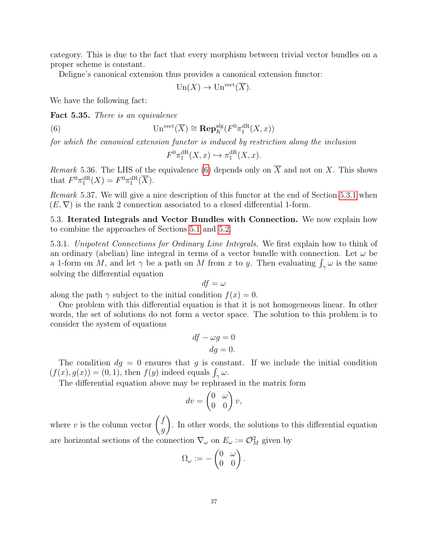category. This is due to the fact that every morphism between trivial vector bundles on a proper scheme is constant.

Deligne's canonical extension thus provides a canonical extension functor:

$$
\operatorname{Un}(X) \to \operatorname{Un}^{\operatorname{vect}}(\overline{X}).
$$

We have the following fact:

Fact 5.35. There is an equivalence

(6) 
$$
\operatorname{Un}^{\text{vect}}(\overline{X}) \cong \operatorname{Rep}_K^{\text{alg}}(F^0 \pi_1^{\text{dR}}(X, x))
$$

for which the canonical extension functor is induced by restriction along the inclusion

<span id="page-36-1"></span>
$$
F^0 \pi_1^{\mathrm{dR}}(X, x) \hookrightarrow \pi_1^{\mathrm{dR}}(X, x).
$$

Remark 5.36. The LHS of the equivalence [\(6\)](#page-36-1) depends only on  $\overline{X}$  and not on X. This shows that  $F^0 \pi_1^{\text{dR}}(X) = F^0 \pi_1^{\text{dR}}(\overline{X}).$ 

Remark 5.37. We will give a nice description of this functor at the end of Section [5.3.1](#page-36-2) when  $(E, \nabla)$  is the rank 2 connection associated to a closed differential 1-form.

<span id="page-36-0"></span>5.3. Iterated Integrals and Vector Bundles with Connection. We now explain how to combine the approaches of Sections [5.1](#page-27-0) and [5.2.](#page-31-0)

<span id="page-36-2"></span>5.3.1. Unipotent Connections for Ordinary Line Integrals. We first explain how to think of an ordinary (abelian) line integral in terms of a vector bundle with connection. Let  $\omega$  be a 1-form on M, and let  $\gamma$  be a path on M from x to y. Then evaluating  $\int_{\gamma} \omega$  is the same solving the differential equation

$$
df = \omega
$$

along the path  $\gamma$  subject to the initial condition  $f(x) = 0$ .

One problem with this differential equation is that it is not homogeneous linear. In other words, the set of solutions do not form a vector space. The solution to this problem is to consider the system of equations

$$
df - \omega g = 0
$$

$$
dg = 0.
$$

The condition  $dg = 0$  ensures that g is constant. If we include the initial condition  $(f(x), g(x)) = (0, 1)$ , then  $f(y)$  indeed equals  $\int_{\gamma} \omega$ .

The differential equation above may be rephrased in the matrix form

$$
dv = \begin{pmatrix} 0 & \omega \\ 0 & 0 \end{pmatrix} v,
$$

where v is the column vector  $\begin{pmatrix} f \\ g \end{pmatrix}$ g  $\setminus$ . In other words, the solutions to this differential equation are horizontal sections of the connection  $\nabla_{\omega}$  on  $E_{\omega} := \mathcal{O}_M^2$  given by

$$
\Omega_{\omega} := -\begin{pmatrix} 0 & \omega \\ 0 & 0 \end{pmatrix}.
$$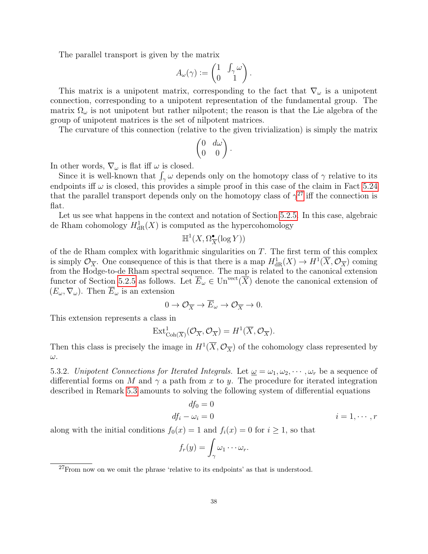The parallel transport is given by the matrix

$$
A_{\omega}(\gamma) := \begin{pmatrix} 1 & \int_{\gamma} \omega \\ 0 & 1 \end{pmatrix}.
$$

This matrix is a unipotent matrix, corresponding to the fact that  $\nabla_{\omega}$  is a unipotent connection, corresponding to a unipotent representation of the fundamental group. The matrix  $\Omega_{\omega}$  is not unipotent but rather nilpotent; the reason is that the Lie algebra of the group of unipotent matrices is the set of nilpotent matrices.

The curvature of this connection (relative to the given trivialization) is simply the matrix

$$
\begin{pmatrix} 0 & d\omega \\ 0 & 0 \end{pmatrix}.
$$

In other words,  $\nabla_{\omega}$  is flat iff  $\omega$  is closed.

Since it is well-known that  $\int_{\gamma} \omega$  depends only on the homotopy class of  $\gamma$  relative to its endpoints iff  $\omega$  is closed, this provides a simple proof in this case of the claim in Fact [5.24](#page-33-1) that the parallel transport depends only on the homotopy class of  $\gamma^{27}$  $\gamma^{27}$  $\gamma^{27}$  iff the connection is flat.

Let us see what happens in the context and notation of Section [5.2.5.](#page-35-4) In this case, algebraic de Rham cohomology  $H^1_{\text{dR}}(X)$  is computed as the hypercohomology

$$
\mathbb{H}^1(X,\Omega^{\bullet}_{\overline{X}}(\log Y))
$$

of the de Rham complex with logarithmic singularities on  $T$ . The first term of this complex is simply  $\mathcal{O}_{\overline{X}}$ . One consequence of this is that there is a map  $H^1_{\text{dR}}(X) \to H^1(\overline{X}, \mathcal{O}_{\overline{X}})$  coming from the Hodge-to-de Rham spectral sequence. The map is related to the canonical extension functor of Section [5.2.5](#page-35-4) as follows. Let  $\overline{E}_{\omega} \in \mathrm{Un}^{\mathrm{vect}}(\overline{X})$  denote the canonical extension of  $(E_{\omega}, \nabla_{\omega})$ . Then  $\overline{E}_{\omega}$  is an extension

$$
0 \to \mathcal{O}_{\overline{X}} \to \overline{E}_{\omega} \to \mathcal{O}_{\overline{X}} \to 0.
$$

This extension represents a class in

$$
\text{Ext}^1_{\text{Coh}(\overline{X})}(\mathcal{O}_{\overline{X}}, \mathcal{O}_{\overline{X}}) = H^1(\overline{X}, \mathcal{O}_{\overline{X}}).
$$

Then this class is precisely the image in  $H^1(\overline{X}, \mathcal{O}_{\overline{X}})$  of the cohomology class represented by ω.

<span id="page-37-1"></span>5.3.2. Unipotent Connections for Iterated Integrals. Let  $\underline{\omega} = \omega_1, \omega_2, \cdots, \omega_r$  be a sequence of differential forms on M and  $\gamma$  a path from x to y. The procedure for iterated integration described in Remark [5.3](#page-27-2) amounts to solving the following system of differential equations

$$
df_0 = 0
$$
  

$$
df_i - \omega_i = 0
$$
  

$$
i = 1, \cdots, r
$$

along with the initial conditions  $f_0(x) = 1$  and  $f_i(x) = 0$  for  $i \ge 1$ , so that

$$
f_r(y) = \int_{\gamma} \omega_1 \cdots \omega_r.
$$

<span id="page-37-0"></span> $^{27}\rm{From}$  now on we omit the phrase 'relative to its endpoints' as that is understood.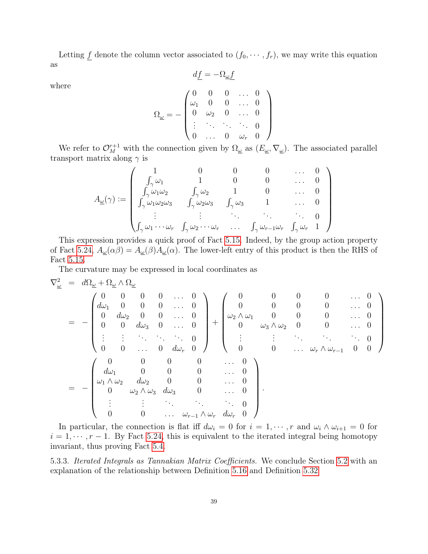Letting  $\underline{f}$  denote the column vector associated to  $(f_0, \dots, f_r)$ , we may write this equation as  $d\underline{f}=-\Omega_{\underline{\omega}}\underline{f}$ 

where

$$
\Omega_{\underline{\omega}}=-\begin{pmatrix}0&0&0&\dots&0\\ \omega_1&0&0&\dots&0\\ 0&\omega_2&0&\dots&0\\ \vdots&\ddots&\ddots&\ddots&0\\ 0&\dots&0&\omega_r&0\end{pmatrix}
$$

We refer to  $\mathcal{O}_{M}^{r+1}$  with the connection given by  $\Omega_{\underline{\omega}}$  as  $(E_{\underline{\omega}}, \nabla_{\underline{\omega}})$ . The associated parallel transport matrix along  $\gamma$  is

$$
A_{\underline{\omega}}(\gamma) := \begin{pmatrix} 1 & 0 & 0 & 0 & \dots & 0 \\ \int_{\gamma} \omega_1 & 1 & 0 & 0 & \dots & 0 \\ \int_{\gamma} \omega_1 \omega_2 & \int_{\gamma} \omega_2 & 1 & 0 & \dots & 0 \\ \int_{\gamma} \omega_1 \omega_2 \omega_3 & \int_{\gamma} \omega_2 \omega_3 & \int_{\gamma} \omega_3 & 1 & \dots & 0 \\ \vdots & \vdots & \ddots & \ddots & \ddots & 0 \\ \int_{\gamma} \omega_1 \cdots \omega_r & \int_{\gamma} \omega_2 \cdots \omega_r & \dots & \int_{\gamma} \omega_{r-1} \omega_r & \int_{\gamma} \omega_r & 1 \end{pmatrix}
$$

This expression provides a quick proof of Fact [5.15.](#page-30-0) Indeed, by the group action property of Fact [5.24,](#page-33-1)  $A_{\underline{\omega}}(\alpha\beta) = A_{\underline{\omega}}(\beta)A_{\underline{\omega}}(\alpha)$ . The lower-left entry of this product is then the RHS of Fact [5.15.](#page-30-0)

The curvature may be expressed in local coordinates as

$$
\nabla_{\underline{\omega}}^{2} = d\Omega_{\underline{\omega}} + \Omega_{\underline{\omega}} \wedge \Omega_{\underline{\omega}} \\
= -\begin{pmatrix}\n0 & 0 & 0 & 0 & \dots & 0 \\
d\omega_{1} & 0 & 0 & 0 & \dots & 0 \\
0 & d\omega_{2} & 0 & 0 & \dots & 0 \\
0 & 0 & d\omega_{3} & 0 & \dots & 0 \\
\vdots & \vdots & \ddots & \ddots & \ddots & 0 \\
0 & 0 & \dots & 0 & d\omega_{r} & 0\n\end{pmatrix} + \begin{pmatrix}\n0 & 0 & 0 & 0 & \dots & 0 \\
0 & 0 & 0 & 0 & \dots & 0 \\
\omega_{2} \wedge \omega_{1} & 0 & 0 & 0 & \dots & 0 \\
0 & \omega_{3} \wedge \omega_{2} & 0 & 0 & \dots & 0 \\
\vdots & \vdots & \ddots & \ddots & \ddots & \ddots & 0 \\
0 & 0 & \dots & 0 & d\omega_{r} & 0\n\end{pmatrix} \\
= -\begin{pmatrix}\n0 & 0 & 0 & 0 & \dots & 0 \\
d\omega_{1} & 0 & 0 & 0 & \dots & 0 \\
0 & \omega_{2} \wedge \omega_{3} & d\omega_{3} & 0 & \dots & 0 \\
\vdots & \vdots & \ddots & \ddots & \ddots & 0 \\
0 & 0 & \dots & \omega_{r-1} \wedge \omega_{r} & d\omega_{r} & 0\n\end{pmatrix}.
$$

In particular, the connection is flat iff  $d\omega_i = 0$  for  $i = 1, \dots, r$  and  $\omega_i \wedge \omega_{i+1} = 0$  for  $i = 1, \dots, r - 1$ . By Fact [5.24,](#page-33-1) this is equivalent to the iterated integral being homotopy invariant, thus proving Fact [5.4.](#page-28-0)

5.3.3. Iterated Integrals as Tannakian Matrix Coefficients. We conclude Section [5.2](#page-31-0) with an explanation of the relationship between Definition [5.16](#page-30-1) and Definition [5.32](#page-35-5)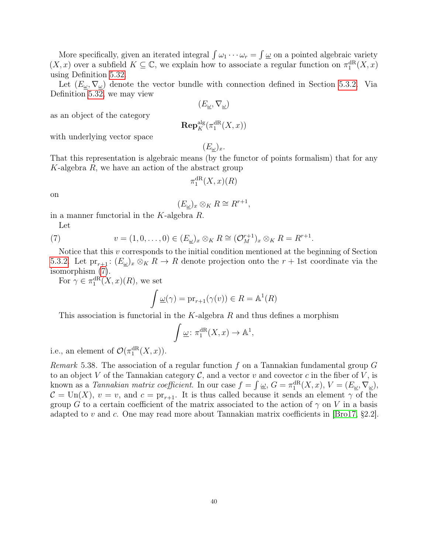More specifically, given an iterated integral  $\int \omega_1 \cdots \omega_r = \int \underline{\omega}$  on a pointed algebraic variety  $(X, x)$  over a subfield  $K \subseteq \mathbb{C}$ , we explain how to associate a regular function on  $\pi_1^{\text{dR}}(X, x)$ using Definition [5.32.](#page-35-5)

Let  $(E_{\omega}, \nabla_{\omega})$  denote the vector bundle with connection defined in Section [5.3.2.](#page-37-1) Via Definition [5.32,](#page-35-5) we may view

 $(E_{\omega}, \nabla_{\omega})$ 

as an object of the category

$$
\mathbf{Rep}^{\mathrm{alg}}_K(\pi_1^{\mathrm{dR}}(X,x))
$$

with underlying vector space

 $(E_{\omega})_x.$ 

That this representation is algebraic means (by the functor of points formalism) that for any K-algebra  $R$ , we have an action of the abstract group

$$
\pi_1^{\mathrm{dR}}(X,x)(R)
$$

on

$$
(E_{\underline{\omega}})_x \otimes_K R \cong R^{r+1},
$$

in a manner functorial in the K-algebra R.

<span id="page-39-0"></span>Let

(7) 
$$
v = (1, 0, \dots, 0) \in (E_{\underline{\omega}})_x \otimes_K R \cong (\mathcal{O}_M^{r+1})_x \otimes_K R = R^{r+1}.
$$

Notice that this v corresponds to the initial condition mentioned at the beginning of Section [5.3.2.](#page-37-1) Let  $\text{pr}_{r+1}$ :  $(E_{\underline{\omega}})_x \otimes_K R \to R$  denote projection onto the  $r + 1$ st coordinate via the isomorphism [\(7\)](#page-39-0).

For  $\gamma \in \pi_1^{\mathrm{dR}}(X, x)(R)$ , we set

$$
\int \underline{\omega}(\gamma) = \mathrm{pr}_{r+1}(\gamma(v)) \in R = \mathbb{A}^1(R)
$$

This association is functorial in the  $K$ -algebra R and thus defines a morphism

$$
\int \underline{\omega} \colon \pi_1^{\mathrm{dR}}(X, x) \to \mathbb{A}^1,
$$

i.e., an element of  $\mathcal{O}(\pi_1^{\text{dR}}(X,x)).$ 

Remark 5.38. The association of a regular function  $f$  on a Tannakian fundamental group  $G$ to an object V of the Tannakian category  $\mathcal{C}$ , and a vector v and covector c in the fiber of V, is known as a *Tannakian matrix coefficient*. In our case  $f = \int \underline{\omega}$ ,  $G = \pi_1^{\text{dR}}(X, x)$ ,  $V = (E_{\underline{\omega}}, \nabla_{\underline{\omega}})$ ,  $C = \text{Un}(X)$ ,  $v = v$ , and  $c = \text{pr}_{r+1}$ . It is thus called because it sends an element  $\gamma$  of the group G to a certain coefficient of the matrix associated to the action of  $\gamma$  on V in a basis adapted to v and c. One may read more about Tannakian matrix coefficients in [\[Bro17,](#page-41-21) §2.2].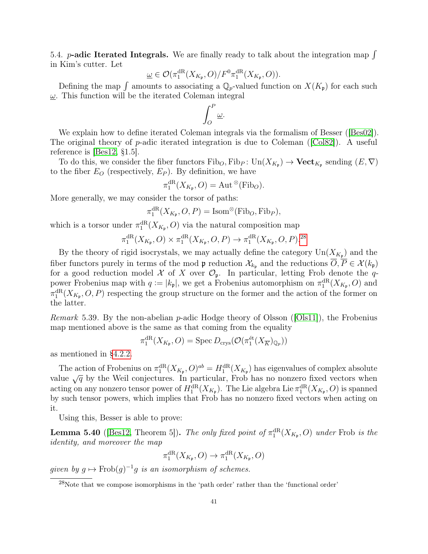<span id="page-40-0"></span>5.4. **p-adic Iterated Integrals.** We are finally ready to talk about the integration map  $\int$ in Kim's cutter. Let

$$
\underline{\omega} \in \mathcal{O}(\pi_1^{\mathrm{dR}}(X_{K_{\mathfrak{p}}},O)/F^0\pi_1^{\mathrm{dR}}(X_{K_{\mathfrak{p}}},O)).
$$

Defining the map  $\int$  amounts to associating a  $\mathbb{Q}_p$ -valued function on  $X(K_p)$  for each such  $\omega$ . This function will be the iterated Coleman integral

$$
\int_O^P \underline{\omega}.
$$

We explain how to define iterated Coleman integrals via the formalism of Besser ([\[Bes02\]](#page-41-6)). The original theory of p-adic iterated integration is due to Coleman ( $\text{[Col82]}$  $\text{[Col82]}$  $\text{[Col82]}$ ). A useful reference is [\[Bes12,](#page-41-16) §1.5].

To do this, we consider the fiber functors  $\text{Fib}_O$ ,  $\text{Fib}_P$ :  $\text{Un}(X_{K_{\mathfrak{p}}}) \to \text{Vect}_{K_{\mathfrak{p}}}$  sending  $(E, \nabla)$ to the fiber  $E_O$  (respectively,  $E_P$ ). By definition, we have

$$
\pi_1^{\mathrm{dR}}(X_{K_{\mathfrak{p}}},O)=\mathrm{Aut}^{\,\otimes}(\mathrm{Fib}_O).
$$

More generally, we may consider the torsor of paths:

$$
\pi_1^{\mathrm{dR}}(X_{K_{\mathfrak{p}}},O,P)=\mathrm{Isom}^\otimes(\mathrm{Fib}_O,\mathrm{Fib}_P),
$$

which is a torsor under  $\pi_1^{\text{dR}}(X_{K_{\mathfrak{p}}},O)$  via the natural composition map

$$
\pi_1^{\mathrm{dR}}(X_{K_{\mathfrak{p}}},O)\times \pi_1^{\mathrm{dR}}(X_{K_{\mathfrak{p}}},O,P)\to \pi_1^{\mathrm{dR}}(X_{K_{\mathfrak{p}}},O,P).^{28}
$$

By the theory of rigid isocrystals, we may actually define the category  $\text{Un}(X_{K_{\mathfrak{p}}})$  and the fiber functors purely in terms of the mod  $\mathfrak p$  reduction  $\mathcal X_{k_{\mathfrak p}}$  and the reductions  $\overline{O}, \overline{P} \in \mathcal X(k_{\mathfrak p})$ for a good reduction model X of X over  $\mathcal{O}_{p}$ . In particular, letting Frob denote the qpower Frobenius map with  $q := |k_{\mathfrak{p}}|$ , we get a Frobenius automorphism on  $\pi_1^{\text{dR}}(X_{K_{\mathfrak{p}}},O)$  and  $\pi_1^{\text{dR}}(X_{K_{\mathfrak{p}}},O,P)$  respecting the group structure on the former and the action of the former on the latter.

*Remark* 5.39. By the non-abelian *p*-adic Hodge theory of Olsson ([\[Ols11\]](#page-42-6)), the Frobenius map mentioned above is the same as that coming from the equality

$$
\pi_1^{\mathrm{dR}}(X_{K_{\mathfrak{p}}},O) = \mathrm{Spec} \, D_{\mathrm{crys}}(\mathcal{O}(\pi_1^{\mathrm{\acute{e}t}}(X_{\overline{K}})_{\mathbb{Q}_p}))
$$

as mentioned in [§4.2.2.](#page-21-0)

The action of Frobenius on  $\pi_1^{\text{dR}}(X_{K_{\mathfrak{p}}},O)^{ab} = H_1^{\text{dR}}(X_{K_{\mathfrak{p}}})$  has eigenvalues of complex absolute value  $\sqrt{q}$  by the Weil conjectures. In particular, Frob has no nonzero fixed vectors when acting on any nonzero tensor power of  $H_1^{\text{dR}}(X_{K_{\mathfrak{p}}})$ . The Lie algebra Lie  $\pi_1^{\text{dR}}(X_{K_{\mathfrak{p}}},O)$  is spanned by such tensor powers, which implies that Frob has no nonzero fixed vectors when acting on it.

Using this, Besser is able to prove:

**Lemma 5.40** ([\[Bes12,](#page-41-16) Theorem 5]). The only fixed point of  $\pi_1^{\text{dR}}(X_{K_{\mathfrak{p}}},O)$  under Frob is the identity, and moreover the map

$$
\pi_1^{\mathrm{dR}}(X_{K_{\mathfrak{p}}},O) \to \pi_1^{\mathrm{dR}}(X_{K_{\mathfrak{p}}},O)
$$

given by  $g \mapsto \text{Frob}(g)^{-1}g$  is an isomorphism of schemes.

<span id="page-40-1"></span><sup>28</sup>Note that we compose isomorphisms in the 'path order' rather than the 'functional order'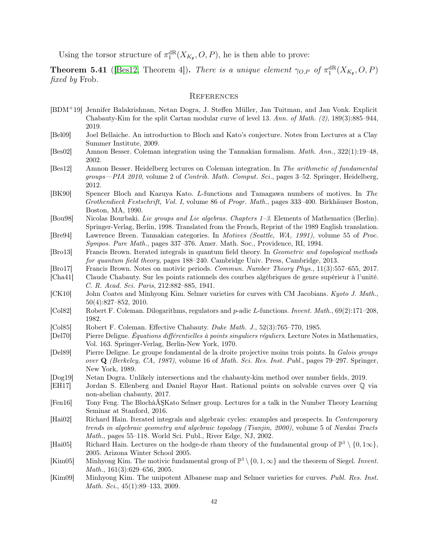Using the torsor structure of  $\pi_1^{\text{dR}}(X_{K_{\mathfrak{p}}},O,P)$ , he is then able to prove:

**Theorem 5.41** ([\[Bes12,](#page-41-16) Theorem 4]). There is a unique element  $\gamma_{O,P}$  of  $\pi_1^{\text{dR}}(X_{K_{\mathfrak{p}}},O,P)$ fixed by Frob.

#### <span id="page-41-0"></span>**REFERENCES**

- <span id="page-41-4"></span>[BDM+19] Jennifer Balakrishnan, Netan Dogra, J. Steffen Müller, Jan Tuitman, and Jan Vonk. Explicit Chabauty-Kim for the split Cartan modular curve of level 13. Ann. of Math. (2), 189(3):885–944, 2019.
- <span id="page-41-9"></span>[Bel09] Joel Bellaiche. An introduction to Bloch and Kato's conjecture. Notes from Lectures at a Clay Summer Institute, 2009.
- <span id="page-41-6"></span>[Bes02] Amnon Besser. Coleman integration using the Tannakian formalism. Math. Ann., 322(1):19–48, 2002.
- <span id="page-41-16"></span>[Bes12] Amnon Besser. Heidelberg lectures on Coleman integration. In The arithmetic of fundamental groups—PIA 2010, volume 2 of Contrib. Math. Comput. Sci., pages 3–52. Springer, Heidelberg, 2012.
- <span id="page-41-7"></span>[BK90] Spencer Bloch and Kazuya Kato. L-functions and Tamagawa numbers of motives. In The Grothendieck Festschrift, Vol. I, volume 86 of Progr. Math., pages 333–400. Birkhäuser Boston, Boston, MA, 1990.
- <span id="page-41-5"></span>[Bou98] Nicolas Bourbaki. Lie groups and Lie algebras. Chapters 1–3. Elements of Mathematics (Berlin). Springer-Verlag, Berlin, 1998. Translated from the French, Reprint of the 1989 English translation.
- <span id="page-41-11"></span>[Bre94] Lawrence Breen. Tannakian categories. In Motives (Seattle, WA, 1991), volume 55 of Proc. Sympos. Pure Math., pages 337–376. Amer. Math. Soc., Providence, RI, 1994.
- <span id="page-41-18"></span>[Bro13] Francis Brown. Iterated integrals in quantum field theory. In Geometric and topological methods for quantum field theory, pages 188–240. Cambridge Univ. Press, Cambridge, 2013.
- <span id="page-41-21"></span>[Bro17] Francis Brown. Notes on motivic periods. Commun. Number Theory Phys., 11(3):557–655, 2017.
- <span id="page-41-1"></span>[Cha41] Claude Chabauty. Sur les points rationnels des courbes algébriques de genre supérieur à l'unité. C. R. Acad. Sci. Paris, 212:882–885, 1941.
- <span id="page-41-14"></span>[CK10] John Coates and Minhyong Kim. Selmer varieties for curves with CM Jacobians. Kyoto J. Math., 50(4):827–852, 2010.
- <span id="page-41-22"></span>[Col82] Robert F. Coleman. Dilogarithms, regulators and p-adic L-functions. Invent. Math., 69(2):171–208, 1982.
- <span id="page-41-2"></span>[Col85] Robert F. Coleman. Effective Chabauty. Duke Math. J., 52(3):765–770, 1985.
- <span id="page-41-19"></span>[Del70] Pierre Deligne. Équations différentielles à points singuliers réguliers. Lecture Notes in Mathematics, Vol. 163. Springer-Verlag, Berlin-New York, 1970.
- <span id="page-41-20"></span>[Del89] Pierre Deligne. Le groupe fondamental de la droite projective moins trois points. In Galois groups over Q (Berkeley, CA, 1987), volume 16 of Math. Sci. Res. Inst. Publ., pages 79–297. Springer, New York, 1989.
- <span id="page-41-13"></span>[Dog19] Netan Dogra. Unlikely intersections and the chabauty-kim method over number fields, 2019.
- <span id="page-41-15"></span>[EH17] Jordan S. Ellenberg and Daniel Rayor Hast. Rational points on solvable curves over Q via non-abelian chabauty, 2017.
- <span id="page-41-8"></span>[Fen16] Tony Feng. The BlochâĂŞKato Selmer group. Lectures for a talk in the Number Theory Learning Seminar at Stanford, 2016.
- <span id="page-41-17"></span>[Hai02] Richard Hain. Iterated integrals and algebraic cycles: examples and prospects. In Contemporary trends in algebraic geometry and algebraic topology (Tianjin, 2000), volume 5 of Nankai Tracts Math., pages 55–118. World Sci. Publ., River Edge, NJ, 2002.
- <span id="page-41-10"></span>[Hai05] Richard Hain. Lectures on the hodge-de rham theory of the fundamental group of  $\mathbb{P}^1 \setminus \{0, 1\infty\}$ , 2005. Arizona Winter School 2005.
- <span id="page-41-3"></span>[Kim05] Minhyong Kim. The motivic fundamental group of  $\mathbb{P}^1 \setminus \{0, 1, \infty\}$  and the theorem of Siegel. Invent. Math., 161(3):629–656, 2005.
- <span id="page-41-12"></span>[Kim09] Minhyong Kim. The unipotent Albanese map and Selmer varieties for curves. Publ. Res. Inst. Math. Sci., 45(1):89–133, 2009.